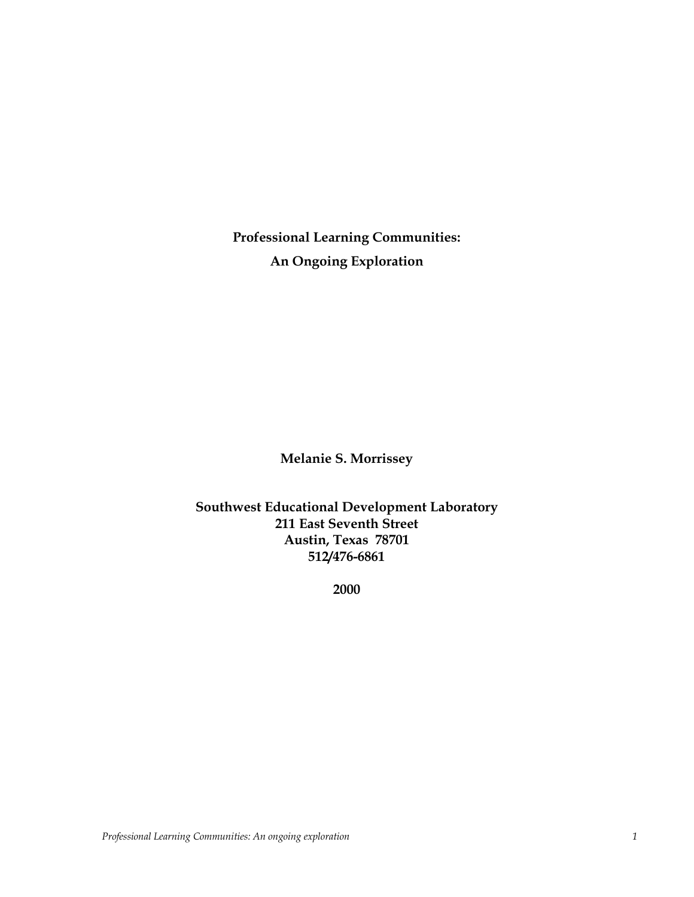**Professional Learning Communities: An Ongoing Exploration**

**Melanie S. Morrissey**

**Southwest Educational Development Laboratory 211 East Seventh Street Austin, Texas 78701 512/476-6861**

**2000**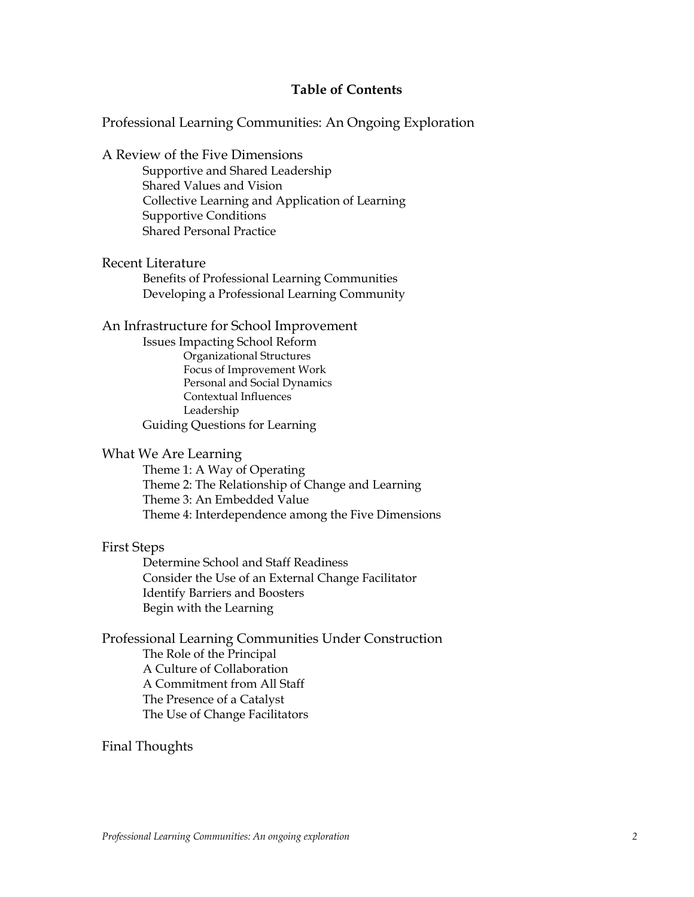# **Table of Contents**

Professional Learning Communities: An Ongoing Exploration

A Review of the Five Dimensions

Supportive and Shared Leadership Shared Values and Vision Collective Learning and Application of Learning Supportive Conditions Shared Personal Practice

#### Recent Literature

Benefits of Professional Learning Communities Developing a Professional Learning Community

#### An Infrastructure for School Improvement

Issues Impacting School Reform Organizational Structures Focus of Improvement Work Personal and Social Dynamics Contextual Influences Leadership Guiding Questions for Learning

#### What We Are Learning

Theme 1: A Way of Operating Theme 2: The Relationship of Change and Learning Theme 3: An Embedded Value Theme 4: Interdependence among the Five Dimensions

#### First Steps

Determine School and Staff Readiness Consider the Use of an External Change Facilitator Identify Barriers and Boosters Begin with the Learning

Professional Learning Communities Under Construction The Role of the Principal A Culture of Collaboration A Commitment from All Staff The Presence of a Catalyst The Use of Change Facilitators

# Final Thoughts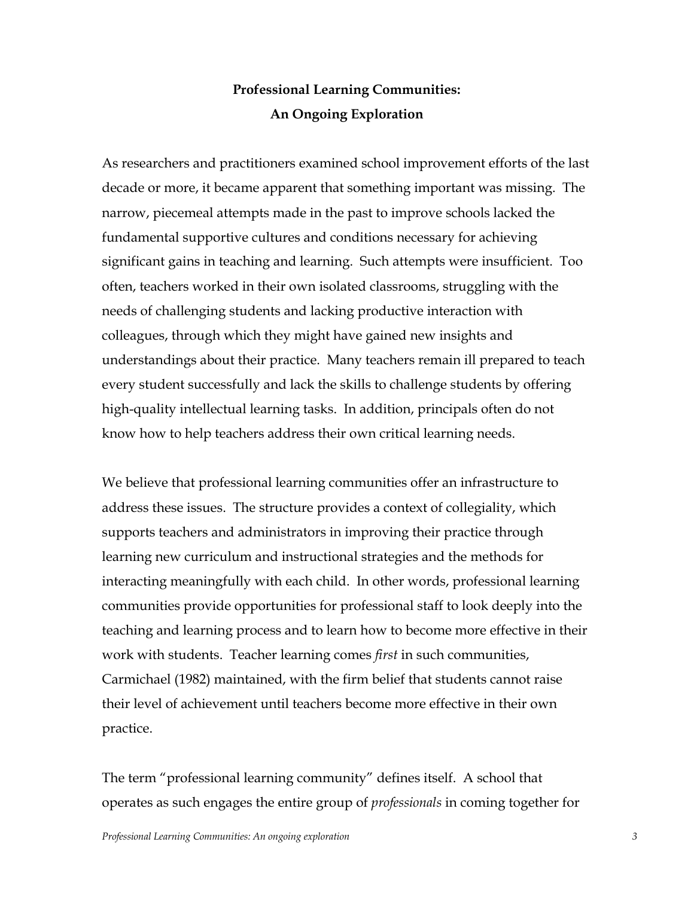# **Professional Learning Communities: An Ongoing Exploration**

As researchers and practitioners examined school improvement efforts of the last decade or more, it became apparent that something important was missing. The narrow, piecemeal attempts made in the past to improve schools lacked the fundamental supportive cultures and conditions necessary for achieving significant gains in teaching and learning. Such attempts were insufficient. Too often, teachers worked in their own isolated classrooms, struggling with the needs of challenging students and lacking productive interaction with colleagues, through which they might have gained new insights and understandings about their practice. Many teachers remain ill prepared to teach every student successfully and lack the skills to challenge students by offering high-quality intellectual learning tasks. In addition, principals often do not know how to help teachers address their own critical learning needs.

We believe that professional learning communities offer an infrastructure to address these issues. The structure provides a context of collegiality, which supports teachers and administrators in improving their practice through learning new curriculum and instructional strategies and the methods for interacting meaningfully with each child. In other words, professional learning communities provide opportunities for professional staff to look deeply into the teaching and learning process and to learn how to become more effective in their work with students. Teacher learning comes *first* in such communities, Carmichael (1982) maintained, with the firm belief that students cannot raise their level of achievement until teachers become more effective in their own practice.

The term "professional learning community" defines itself. A school that operates as such engages the entire group of *professionals* in coming together for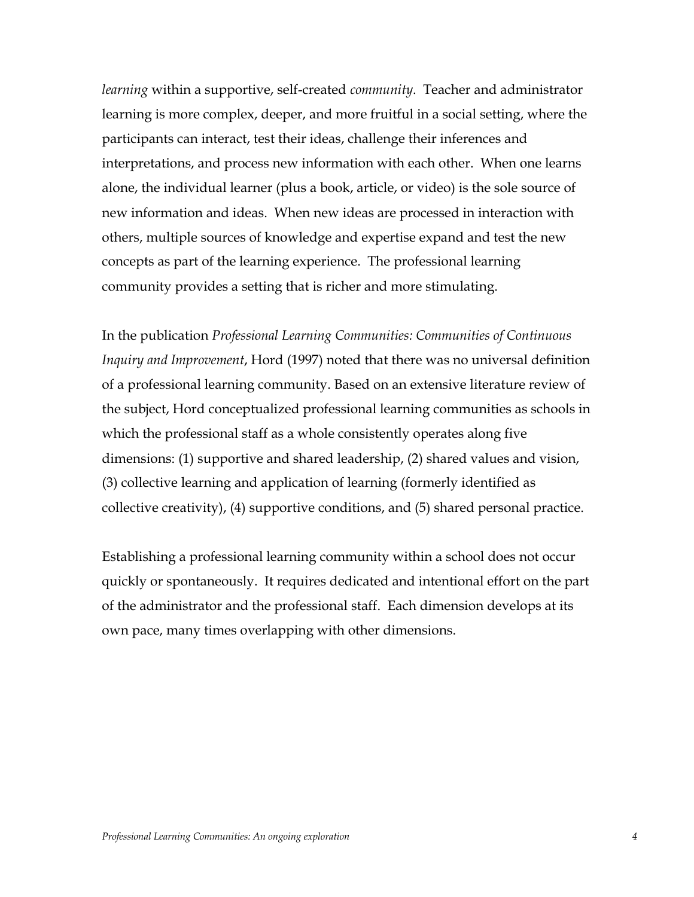*learning* within a supportive, self-created *community*. Teacher and administrator learning is more complex, deeper, and more fruitful in a social setting, where the participants can interact, test their ideas, challenge their inferences and interpretations, and process new information with each other. When one learns alone, the individual learner (plus a book, article, or video) is the sole source of new information and ideas. When new ideas are processed in interaction with others, multiple sources of knowledge and expertise expand and test the new concepts as part of the learning experience. The professional learning community provides a setting that is richer and more stimulating.

In the publication *Professional Learning Communities: Communities of Continuous Inquiry and Improvement*, Hord (1997) noted that there was no universal definition of a professional learning community. Based on an extensive literature review of the subject, Hord conceptualized professional learning communities as schools in which the professional staff as a whole consistently operates along five dimensions: (1) supportive and shared leadership, (2) shared values and vision, (3) collective learning and application of learning (formerly identified as collective creativity), (4) supportive conditions, and (5) shared personal practice.

Establishing a professional learning community within a school does not occur quickly or spontaneously. It requires dedicated and intentional effort on the part of the administrator and the professional staff. Each dimension develops at its own pace, many times overlapping with other dimensions.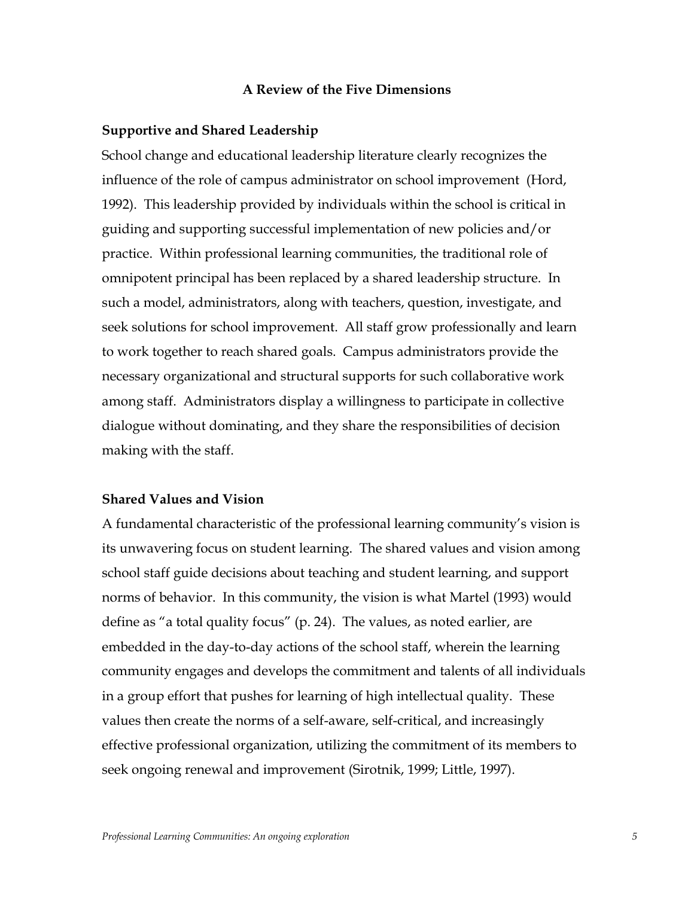#### **A Review of the Five Dimensions**

#### **Supportive and Shared Leadership**

School change and educational leadership literature clearly recognizes the influence of the role of campus administrator on school improvement (Hord, 1992). This leadership provided by individuals within the school is critical in guiding and supporting successful implementation of new policies and/or practice. Within professional learning communities, the traditional role of omnipotent principal has been replaced by a shared leadership structure. In such a model, administrators, along with teachers, question, investigate, and seek solutions for school improvement. All staff grow professionally and learn to work together to reach shared goals. Campus administrators provide the necessary organizational and structural supports for such collaborative work among staff. Administrators display a willingness to participate in collective dialogue without dominating, and they share the responsibilities of decision making with the staff.

## **Shared Values and Vision**

A fundamental characteristic of the professional learning communityís vision is its unwavering focus on student learning. The shared values and vision among school staff guide decisions about teaching and student learning, and support norms of behavior. In this community, the vision is what Martel (1993) would define as "a total quality focus" (p. 24). The values, as noted earlier, are embedded in the day-to-day actions of the school staff, wherein the learning community engages and develops the commitment and talents of all individuals in a group effort that pushes for learning of high intellectual quality. These values then create the norms of a self-aware, self-critical, and increasingly effective professional organization, utilizing the commitment of its members to seek ongoing renewal and improvement (Sirotnik, 1999; Little, 1997).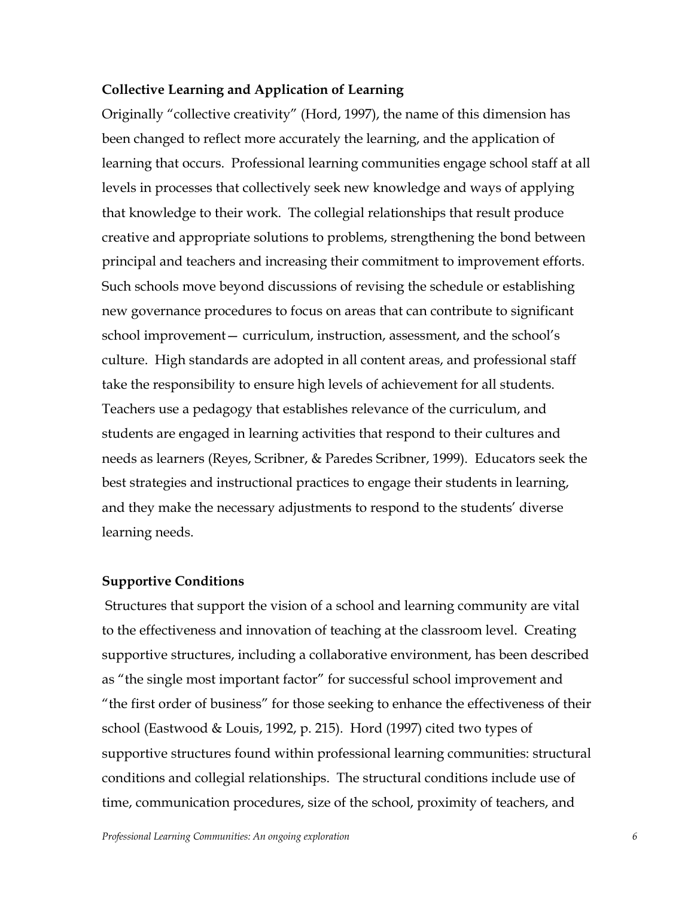#### **Collective Learning and Application of Learning**

Originally "collective creativity" (Hord, 1997), the name of this dimension has been changed to reflect more accurately the learning, and the application of learning that occurs. Professional learning communities engage school staff at all levels in processes that collectively seek new knowledge and ways of applying that knowledge to their work. The collegial relationships that result produce creative and appropriate solutions to problems, strengthening the bond between principal and teachers and increasing their commitment to improvement efforts. Such schools move beyond discussions of revising the schedule or establishing new governance procedures to focus on areas that can contribute to significant school improvement - curriculum, instruction, assessment, and the school's culture. High standards are adopted in all content areas, and professional staff take the responsibility to ensure high levels of achievement for all students. Teachers use a pedagogy that establishes relevance of the curriculum, and students are engaged in learning activities that respond to their cultures and needs as learners (Reyes, Scribner, & Paredes Scribner, 1999). Educators seek the best strategies and instructional practices to engage their students in learning, and they make the necessary adjustments to respond to the students' diverse learning needs.

#### **Supportive Conditions**

 Structures that support the vision of a school and learning community are vital to the effectiveness and innovation of teaching at the classroom level. Creating supportive structures, including a collaborative environment, has been described as "the single most important factor" for successful school improvement and "the first order of business" for those seeking to enhance the effectiveness of their school (Eastwood & Louis, 1992, p. 215). Hord (1997) cited two types of supportive structures found within professional learning communities: structural conditions and collegial relationships. The structural conditions include use of time, communication procedures, size of the school, proximity of teachers, and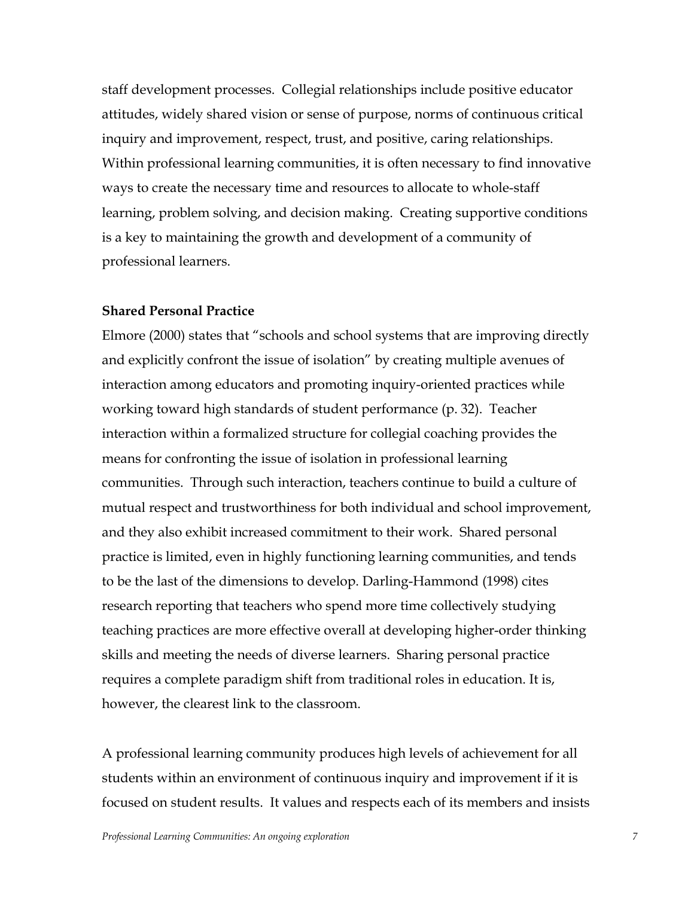staff development processes. Collegial relationships include positive educator attitudes, widely shared vision or sense of purpose, norms of continuous critical inquiry and improvement, respect, trust, and positive, caring relationships. Within professional learning communities, it is often necessary to find innovative ways to create the necessary time and resources to allocate to whole-staff learning, problem solving, and decision making. Creating supportive conditions is a key to maintaining the growth and development of a community of professional learners.

# **Shared Personal Practice**

Elmore (2000) states that "schools and school systems that are improving directly and explicitly confront the issue of isolation" by creating multiple avenues of interaction among educators and promoting inquiry-oriented practices while working toward high standards of student performance (p. 32). Teacher interaction within a formalized structure for collegial coaching provides the means for confronting the issue of isolation in professional learning communities. Through such interaction, teachers continue to build a culture of mutual respect and trustworthiness for both individual and school improvement, and they also exhibit increased commitment to their work. Shared personal practice is limited, even in highly functioning learning communities, and tends to be the last of the dimensions to develop. Darling-Hammond (1998) cites research reporting that teachers who spend more time collectively studying teaching practices are more effective overall at developing higher-order thinking skills and meeting the needs of diverse learners. Sharing personal practice requires a complete paradigm shift from traditional roles in education. It is, however, the clearest link to the classroom.

A professional learning community produces high levels of achievement for all students within an environment of continuous inquiry and improvement if it is focused on student results. It values and respects each of its members and insists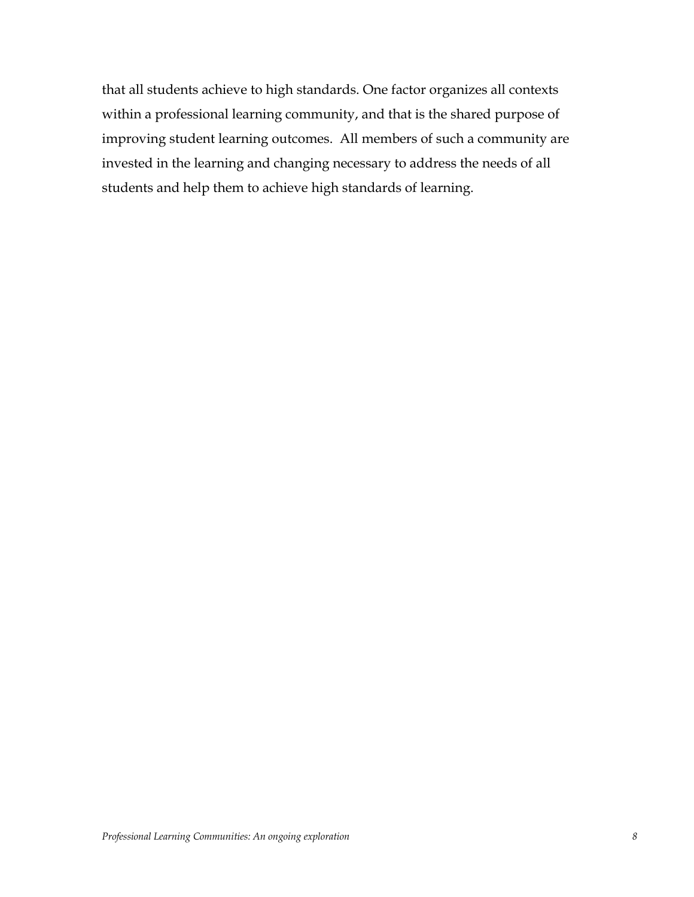that all students achieve to high standards. One factor organizes all contexts within a professional learning community, and that is the shared purpose of improving student learning outcomes. All members of such a community are invested in the learning and changing necessary to address the needs of all students and help them to achieve high standards of learning.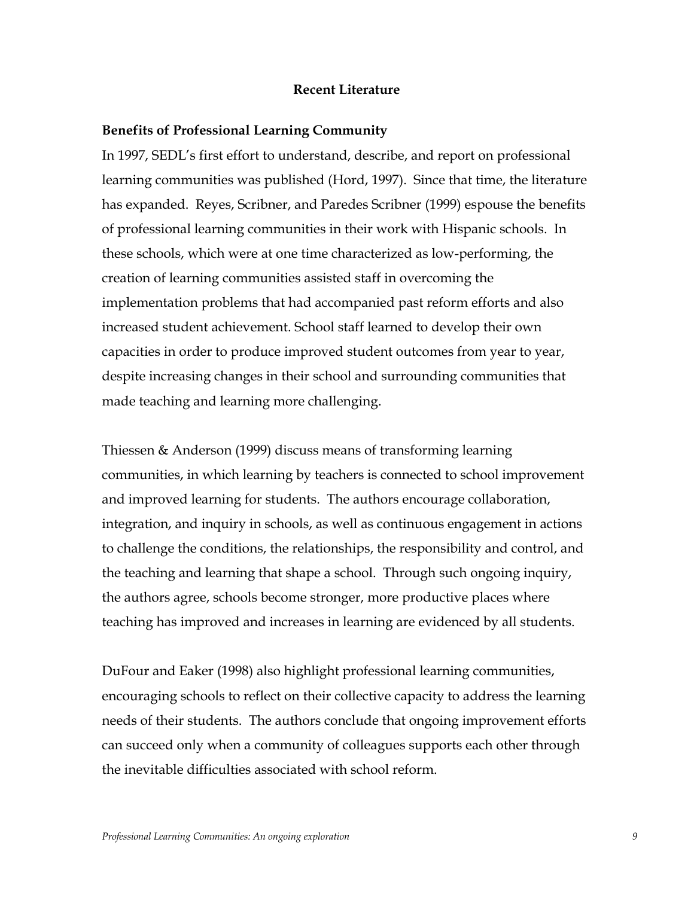## **Recent Literature**

#### **Benefits of Professional Learning Community**

In 1997, SEDLís first effort to understand, describe, and report on professional learning communities was published (Hord, 1997). Since that time, the literature has expanded. Reyes, Scribner, and Paredes Scribner (1999) espouse the benefits of professional learning communities in their work with Hispanic schools. In these schools, which were at one time characterized as low-performing, the creation of learning communities assisted staff in overcoming the implementation problems that had accompanied past reform efforts and also increased student achievement. School staff learned to develop their own capacities in order to produce improved student outcomes from year to year, despite increasing changes in their school and surrounding communities that made teaching and learning more challenging.

Thiessen & Anderson (1999) discuss means of transforming learning communities, in which learning by teachers is connected to school improvement and improved learning for students. The authors encourage collaboration, integration, and inquiry in schools, as well as continuous engagement in actions to challenge the conditions, the relationships, the responsibility and control, and the teaching and learning that shape a school. Through such ongoing inquiry, the authors agree, schools become stronger, more productive places where teaching has improved and increases in learning are evidenced by all students.

DuFour and Eaker (1998) also highlight professional learning communities, encouraging schools to reflect on their collective capacity to address the learning needs of their students. The authors conclude that ongoing improvement efforts can succeed only when a community of colleagues supports each other through the inevitable difficulties associated with school reform.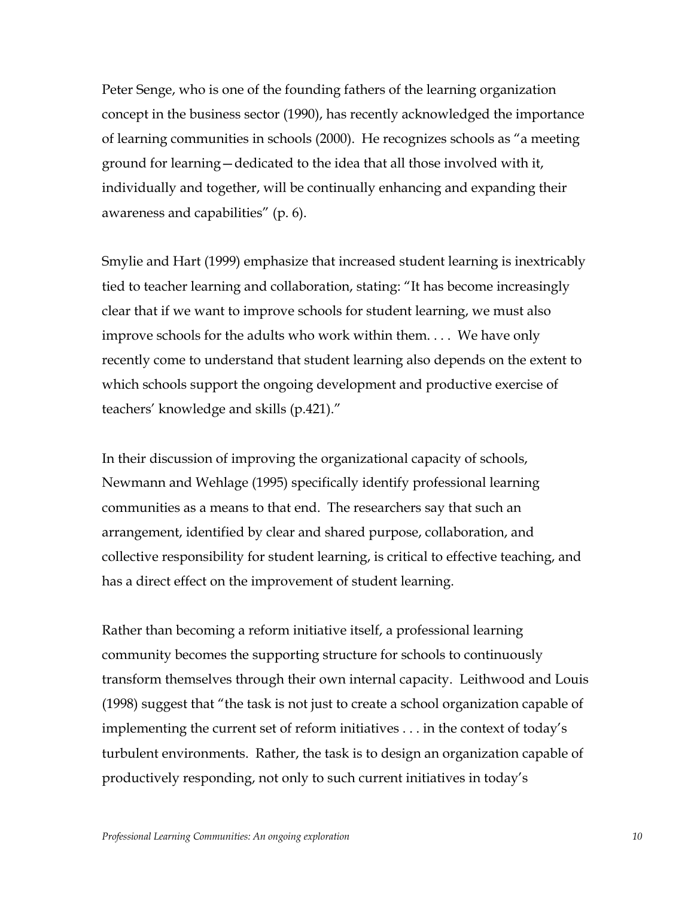Peter Senge, who is one of the founding fathers of the learning organization concept in the business sector (1990), has recently acknowledged the importance of learning communities in schools (2000). He recognizes schools as "a meeting ground for learning – dedicated to the idea that all those involved with it, individually and together, will be continually enhancing and expanding their awareness and capabilities<sup>"</sup> (p.  $6$ ).

Smylie and Hart (1999) emphasize that increased student learning is inextricably tied to teacher learning and collaboration, stating: "It has become increasingly clear that if we want to improve schools for student learning, we must also improve schools for the adults who work within them. . . . We have only recently come to understand that student learning also depends on the extent to which schools support the ongoing development and productive exercise of teachers' knowledge and skills (p.421)."

In their discussion of improving the organizational capacity of schools, Newmann and Wehlage (1995) specifically identify professional learning communities as a means to that end. The researchers say that such an arrangement, identified by clear and shared purpose, collaboration, and collective responsibility for student learning, is critical to effective teaching, and has a direct effect on the improvement of student learning.

Rather than becoming a reform initiative itself, a professional learning community becomes the supporting structure for schools to continuously transform themselves through their own internal capacity. Leithwood and Louis  $(1998)$  suggest that "the task is not just to create a school organization capable of implementing the current set of reform initiatives  $\dots$  in the context of today's turbulent environments. Rather, the task is to design an organization capable of productively responding, not only to such current initiatives in today's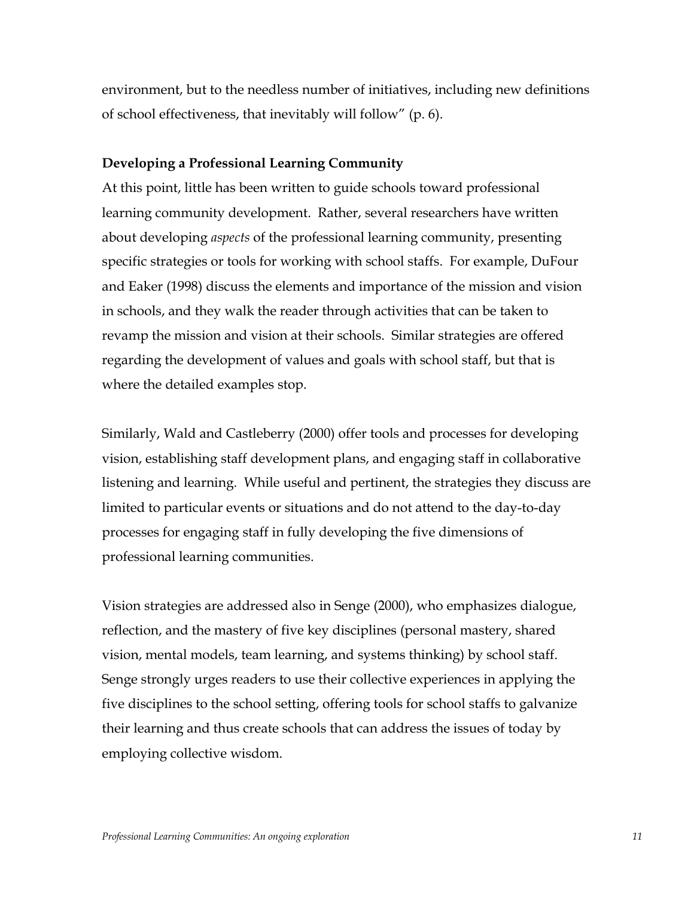environment, but to the needless number of initiatives, including new definitions of school effectiveness, that inevitably will follow<sup>"</sup> (p. 6).

#### **Developing a Professional Learning Community**

At this point, little has been written to guide schools toward professional learning community development. Rather, several researchers have written about developing *aspects* of the professional learning community, presenting specific strategies or tools for working with school staffs. For example, DuFour and Eaker (1998) discuss the elements and importance of the mission and vision in schools, and they walk the reader through activities that can be taken to revamp the mission and vision at their schools. Similar strategies are offered regarding the development of values and goals with school staff, but that is where the detailed examples stop.

Similarly, Wald and Castleberry (2000) offer tools and processes for developing vision, establishing staff development plans, and engaging staff in collaborative listening and learning. While useful and pertinent, the strategies they discuss are limited to particular events or situations and do not attend to the day-to-day processes for engaging staff in fully developing the five dimensions of professional learning communities.

Vision strategies are addressed also in Senge (2000), who emphasizes dialogue, reflection, and the mastery of five key disciplines (personal mastery, shared vision, mental models, team learning, and systems thinking) by school staff. Senge strongly urges readers to use their collective experiences in applying the five disciplines to the school setting, offering tools for school staffs to galvanize their learning and thus create schools that can address the issues of today by employing collective wisdom.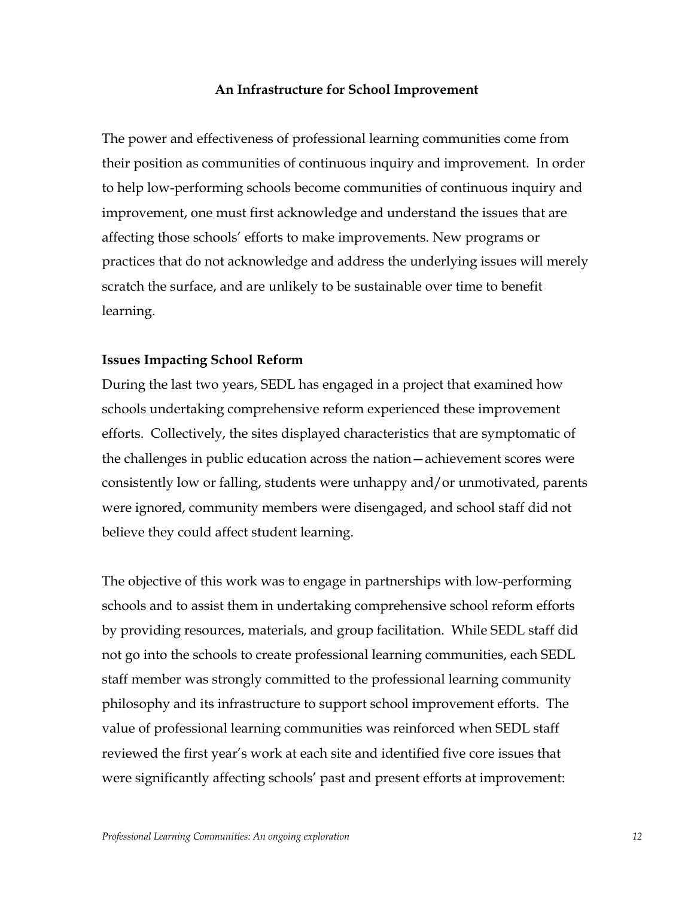#### **An Infrastructure for School Improvement**

The power and effectiveness of professional learning communities come from their position as communities of continuous inquiry and improvement. In order to help low-performing schools become communities of continuous inquiry and improvement, one must first acknowledge and understand the issues that are affecting those schools' efforts to make improvements. New programs or practices that do not acknowledge and address the underlying issues will merely scratch the surface, and are unlikely to be sustainable over time to benefit learning.

#### **Issues Impacting School Reform**

During the last two years, SEDL has engaged in a project that examined how schools undertaking comprehensive reform experienced these improvement efforts. Collectively, the sites displayed characteristics that are symptomatic of the challenges in public education across the nation–achievement scores were consistently low or falling, students were unhappy and/or unmotivated, parents were ignored, community members were disengaged, and school staff did not believe they could affect student learning.

The objective of this work was to engage in partnerships with low-performing schools and to assist them in undertaking comprehensive school reform efforts by providing resources, materials, and group facilitation. While SEDL staff did not go into the schools to create professional learning communities, each SEDL staff member was strongly committed to the professional learning community philosophy and its infrastructure to support school improvement efforts. The value of professional learning communities was reinforced when SEDL staff reviewed the first year's work at each site and identified five core issues that were significantly affecting schools' past and present efforts at improvement: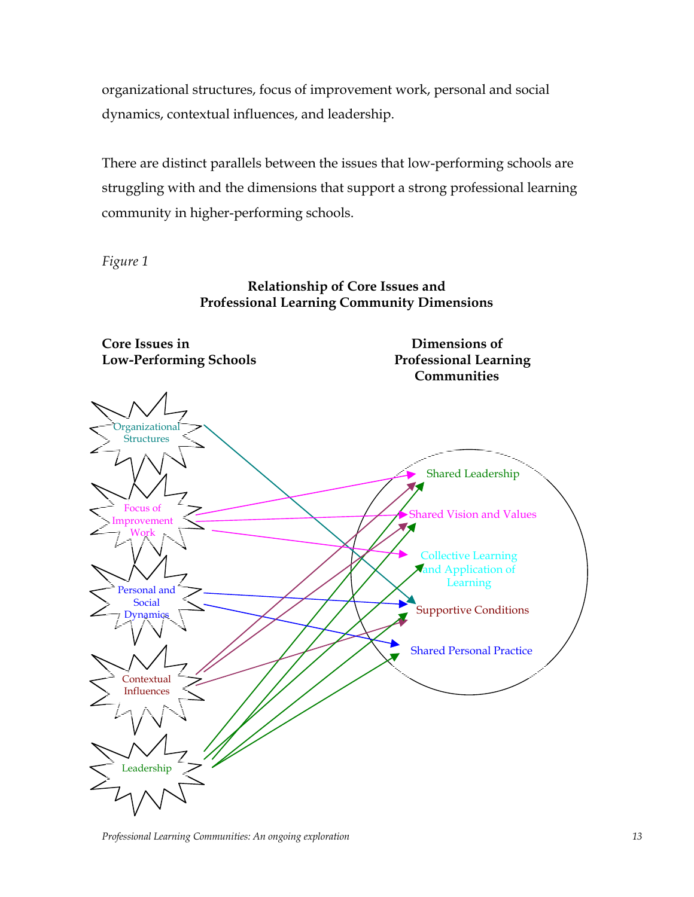organizational structures, focus of improvement work, personal and social dynamics, contextual influences, and leadership.

There are distinct parallels between the issues that low-performing schools are struggling with and the dimensions that support a strong professional learning community in higher-performing schools.

*Figure 1*

# **Relationship of Core Issues and Professional Learning Community Dimensions**



*Professional Learning Communities: An ongoing exploration 13*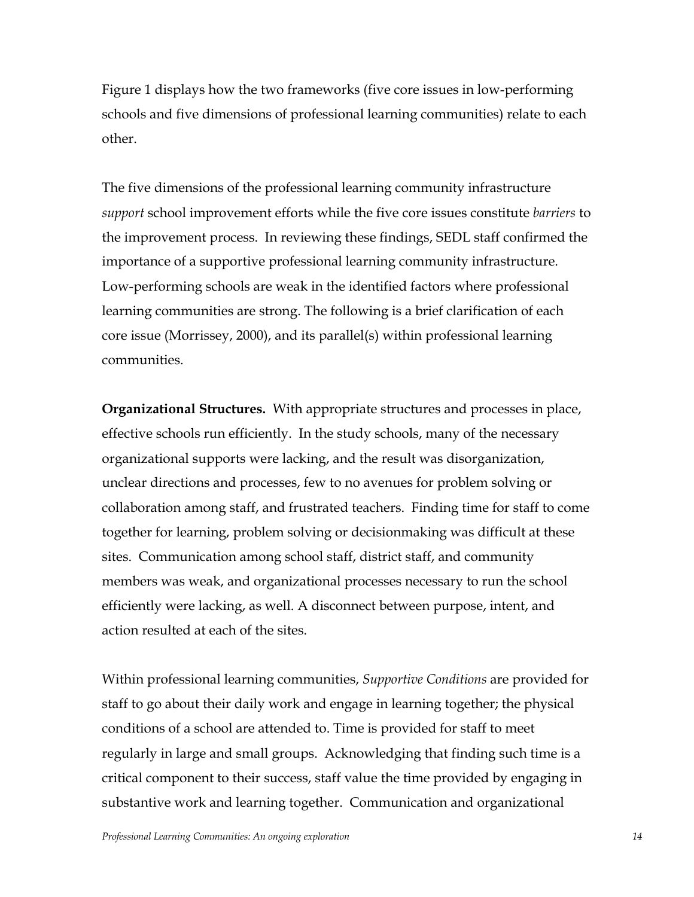Figure 1 displays how the two frameworks (five core issues in low-performing schools and five dimensions of professional learning communities) relate to each other.

The five dimensions of the professional learning community infrastructure *support* school improvement efforts while the five core issues constitute *barriers* to the improvement process. In reviewing these findings, SEDL staff confirmed the importance of a supportive professional learning community infrastructure. Low-performing schools are weak in the identified factors where professional learning communities are strong. The following is a brief clarification of each core issue (Morrissey, 2000), and its parallel(s) within professional learning communities.

**Organizational Structures.** With appropriate structures and processes in place, effective schools run efficiently. In the study schools, many of the necessary organizational supports were lacking, and the result was disorganization, unclear directions and processes, few to no avenues for problem solving or collaboration among staff, and frustrated teachers. Finding time for staff to come together for learning, problem solving or decisionmaking was difficult at these sites. Communication among school staff, district staff, and community members was weak, and organizational processes necessary to run the school efficiently were lacking, as well. A disconnect between purpose, intent, and action resulted at each of the sites.

Within professional learning communities, *Supportive Conditions* are provided for staff to go about their daily work and engage in learning together; the physical conditions of a school are attended to. Time is provided for staff to meet regularly in large and small groups. Acknowledging that finding such time is a critical component to their success, staff value the time provided by engaging in substantive work and learning together. Communication and organizational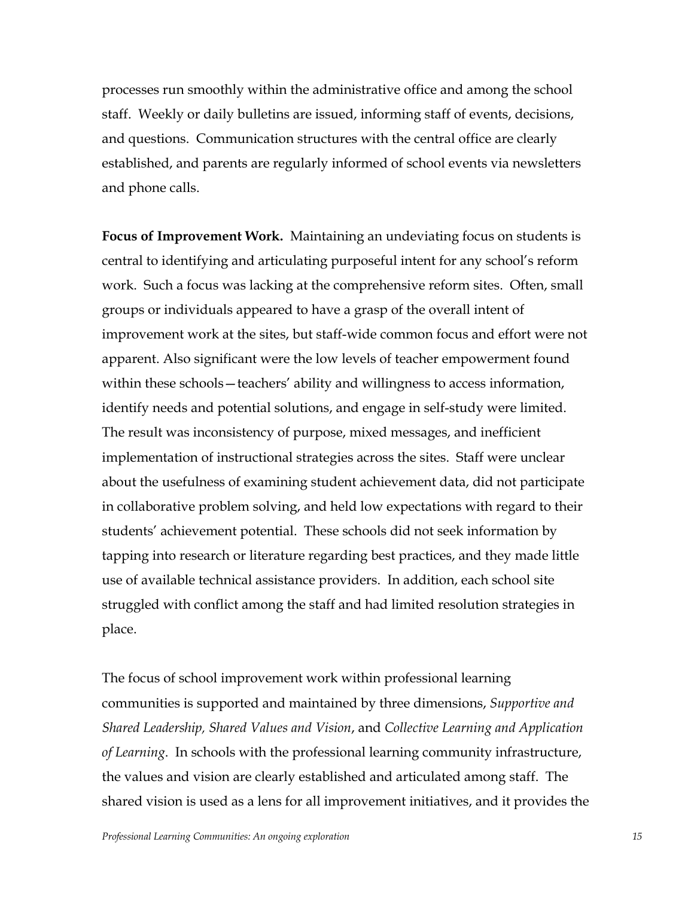processes run smoothly within the administrative office and among the school staff. Weekly or daily bulletins are issued, informing staff of events, decisions, and questions. Communication structures with the central office are clearly established, and parents are regularly informed of school events via newsletters and phone calls.

**Focus of Improvement Work.** Maintaining an undeviating focus on students is central to identifying and articulating purposeful intent for any school's reform work. Such a focus was lacking at the comprehensive reform sites. Often, small groups or individuals appeared to have a grasp of the overall intent of improvement work at the sites, but staff-wide common focus and effort were not apparent. Also significant were the low levels of teacher empowerment found within these schools—teachers' ability and willingness to access information, identify needs and potential solutions, and engage in self-study were limited. The result was inconsistency of purpose, mixed messages, and inefficient implementation of instructional strategies across the sites. Staff were unclear about the usefulness of examining student achievement data, did not participate in collaborative problem solving, and held low expectations with regard to their students' achievement potential. These schools did not seek information by tapping into research or literature regarding best practices, and they made little use of available technical assistance providers. In addition, each school site struggled with conflict among the staff and had limited resolution strategies in place.

The focus of school improvement work within professional learning communities is supported and maintained by three dimensions, *Supportive and Shared Leadership, Shared Values and Vision*, and *Collective Learning and Application of Learning*. In schools with the professional learning community infrastructure, the values and vision are clearly established and articulated among staff. The shared vision is used as a lens for all improvement initiatives, and it provides the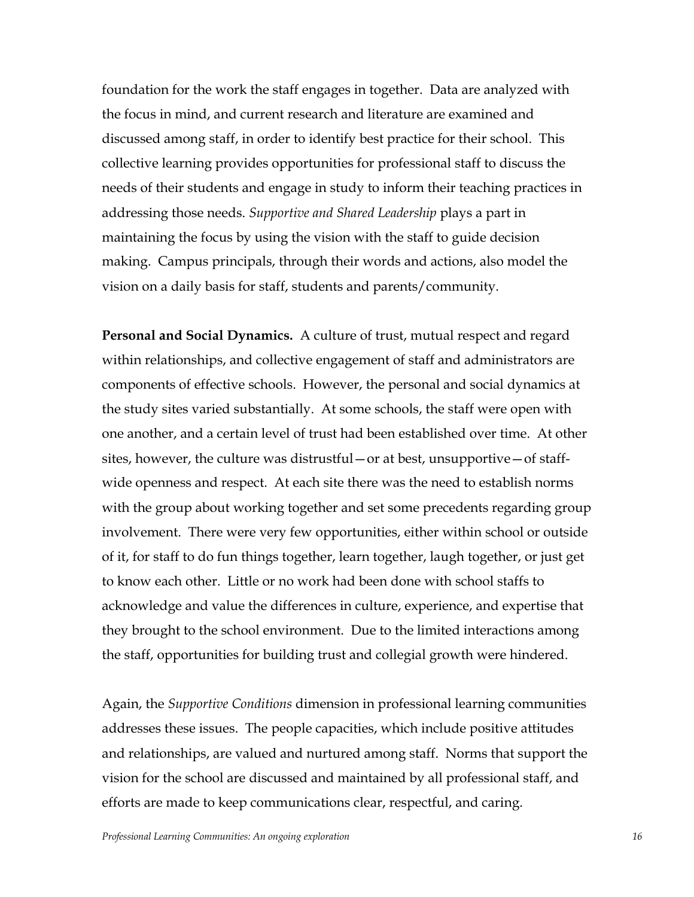foundation for the work the staff engages in together. Data are analyzed with the focus in mind, and current research and literature are examined and discussed among staff, in order to identify best practice for their school. This collective learning provides opportunities for professional staff to discuss the needs of their students and engage in study to inform their teaching practices in addressing those needs. *Supportive and Shared Leadership* plays a part in maintaining the focus by using the vision with the staff to guide decision making. Campus principals, through their words and actions, also model the vision on a daily basis for staff, students and parents/community.

**Personal and Social Dynamics.** A culture of trust, mutual respect and regard within relationships, and collective engagement of staff and administrators are components of effective schools. However, the personal and social dynamics at the study sites varied substantially. At some schools, the staff were open with one another, and a certain level of trust had been established over time. At other sites, however, the culture was distrustful– or at best, unsupportive– of staffwide openness and respect. At each site there was the need to establish norms with the group about working together and set some precedents regarding group involvement. There were very few opportunities, either within school or outside of it, for staff to do fun things together, learn together, laugh together, or just get to know each other. Little or no work had been done with school staffs to acknowledge and value the differences in culture, experience, and expertise that they brought to the school environment. Due to the limited interactions among the staff, opportunities for building trust and collegial growth were hindered.

Again, the *Supportive Conditions* dimension in professional learning communities addresses these issues. The people capacities, which include positive attitudes and relationships, are valued and nurtured among staff. Norms that support the vision for the school are discussed and maintained by all professional staff, and efforts are made to keep communications clear, respectful, and caring.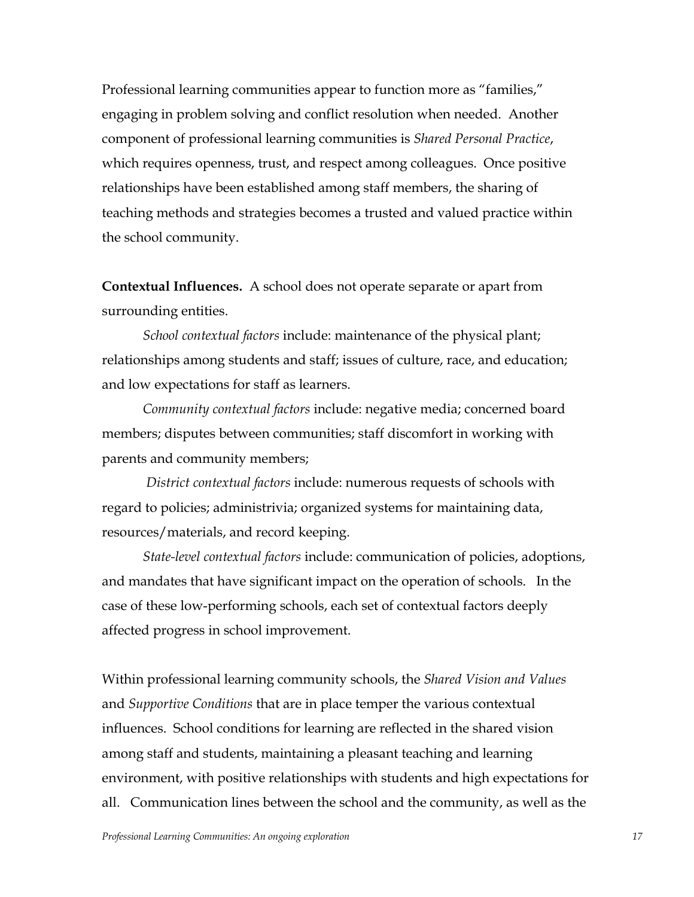Professional learning communities appear to function more as "families," engaging in problem solving and conflict resolution when needed. Another component of professional learning communities is *Shared Personal Practice*, which requires openness, trust, and respect among colleagues. Once positive relationships have been established among staff members, the sharing of teaching methods and strategies becomes a trusted and valued practice within the school community.

**Contextual Influences.** A school does not operate separate or apart from surrounding entities.

*School contextual factors* include: maintenance of the physical plant; relationships among students and staff; issues of culture, race, and education; and low expectations for staff as learners.

*Community contextual factors* include: negative media; concerned board members; disputes between communities; staff discomfort in working with parents and community members;

*District contextual factors* include: numerous requests of schools with regard to policies; administrivia; organized systems for maintaining data, resources/materials, and record keeping.

*State-level contextual factors* include: communication of policies, adoptions, and mandates that have significant impact on the operation of schools. In the case of these low-performing schools, each set of contextual factors deeply affected progress in school improvement.

Within professional learning community schools, the *Shared Vision and Values* and *Supportive Conditions* that are in place temper the various contextual influences. School conditions for learning are reflected in the shared vision among staff and students, maintaining a pleasant teaching and learning environment, with positive relationships with students and high expectations for all. Communication lines between the school and the community, as well as the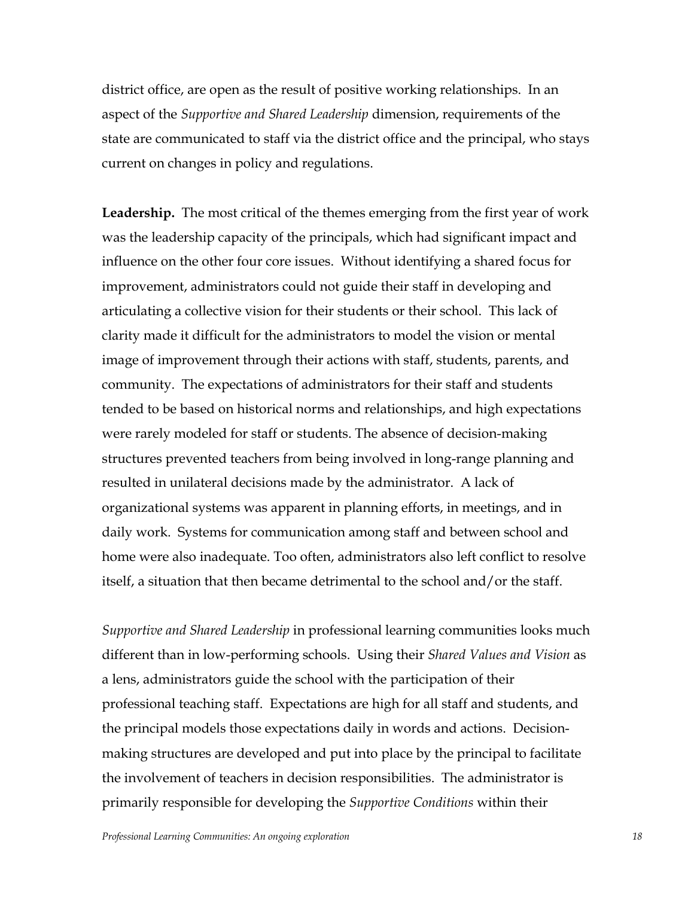district office, are open as the result of positive working relationships. In an aspect of the *Supportive and Shared Leadership* dimension, requirements of the state are communicated to staff via the district office and the principal, who stays current on changes in policy and regulations.

**Leadership.** The most critical of the themes emerging from the first year of work was the leadership capacity of the principals, which had significant impact and influence on the other four core issues. Without identifying a shared focus for improvement, administrators could not guide their staff in developing and articulating a collective vision for their students or their school. This lack of clarity made it difficult for the administrators to model the vision or mental image of improvement through their actions with staff, students, parents, and community. The expectations of administrators for their staff and students tended to be based on historical norms and relationships, and high expectations were rarely modeled for staff or students. The absence of decision-making structures prevented teachers from being involved in long-range planning and resulted in unilateral decisions made by the administrator. A lack of organizational systems was apparent in planning efforts, in meetings, and in daily work. Systems for communication among staff and between school and home were also inadequate. Too often, administrators also left conflict to resolve itself, a situation that then became detrimental to the school and/or the staff.

*Supportive and Shared Leadership* in professional learning communities looks much different than in low-performing schools. Using their *Shared Values and Vision* as a lens, administrators guide the school with the participation of their professional teaching staff. Expectations are high for all staff and students, and the principal models those expectations daily in words and actions. Decisionmaking structures are developed and put into place by the principal to facilitate the involvement of teachers in decision responsibilities. The administrator is primarily responsible for developing the *Supportive Conditions* within their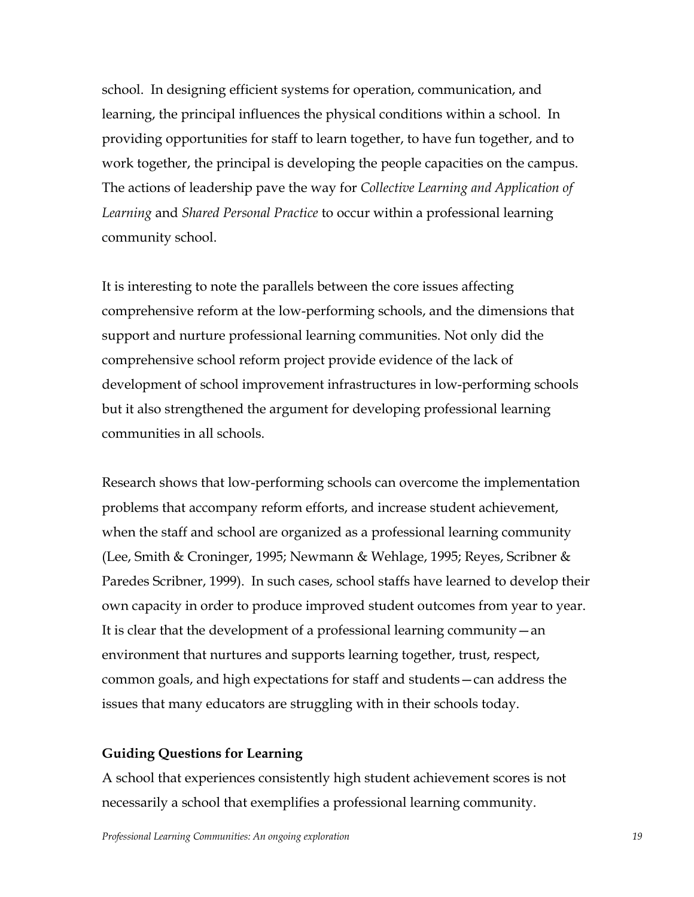school. In designing efficient systems for operation, communication, and learning, the principal influences the physical conditions within a school. In providing opportunities for staff to learn together, to have fun together, and to work together, the principal is developing the people capacities on the campus. The actions of leadership pave the way for *Collective Learning and Application of Learning* and *Shared Personal Practice* to occur within a professional learning community school.

It is interesting to note the parallels between the core issues affecting comprehensive reform at the low-performing schools, and the dimensions that support and nurture professional learning communities. Not only did the comprehensive school reform project provide evidence of the lack of development of school improvement infrastructures in low-performing schools but it also strengthened the argument for developing professional learning communities in all schools.

Research shows that low-performing schools can overcome the implementation problems that accompany reform efforts, and increase student achievement, when the staff and school are organized as a professional learning community (Lee, Smith & Croninger, 1995; Newmann & Wehlage, 1995; Reyes, Scribner & Paredes Scribner, 1999). In such cases, school staffs have learned to develop their own capacity in order to produce improved student outcomes from year to year. It is clear that the development of a professional learning community  $-\text{an}$ environment that nurtures and supports learning together, trust, respect, common goals, and high expectations for staff and students - can address the issues that many educators are struggling with in their schools today.

## **Guiding Questions for Learning**

A school that experiences consistently high student achievement scores is not necessarily a school that exemplifies a professional learning community.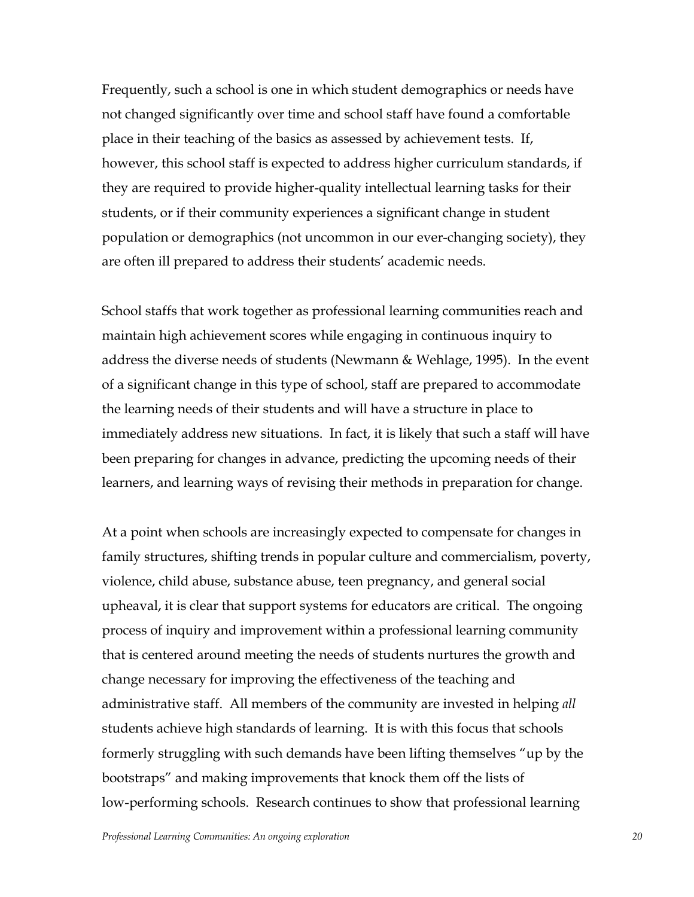Frequently, such a school is one in which student demographics or needs have not changed significantly over time and school staff have found a comfortable place in their teaching of the basics as assessed by achievement tests. If, however, this school staff is expected to address higher curriculum standards, if they are required to provide higher-quality intellectual learning tasks for their students, or if their community experiences a significant change in student population or demographics (not uncommon in our ever-changing society), they are often ill prepared to address their students' academic needs.

School staffs that work together as professional learning communities reach and maintain high achievement scores while engaging in continuous inquiry to address the diverse needs of students (Newmann & Wehlage, 1995). In the event of a significant change in this type of school, staff are prepared to accommodate the learning needs of their students and will have a structure in place to immediately address new situations. In fact, it is likely that such a staff will have been preparing for changes in advance, predicting the upcoming needs of their learners, and learning ways of revising their methods in preparation for change.

At a point when schools are increasingly expected to compensate for changes in family structures, shifting trends in popular culture and commercialism, poverty, violence, child abuse, substance abuse, teen pregnancy, and general social upheaval, it is clear that support systems for educators are critical. The ongoing process of inquiry and improvement within a professional learning community that is centered around meeting the needs of students nurtures the growth and change necessary for improving the effectiveness of the teaching and administrative staff. All members of the community are invested in helping *all* students achieve high standards of learning. It is with this focus that schools formerly struggling with such demands have been lifting themselves "up by the bootstraps" and making improvements that knock them off the lists of low-performing schools. Research continues to show that professional learning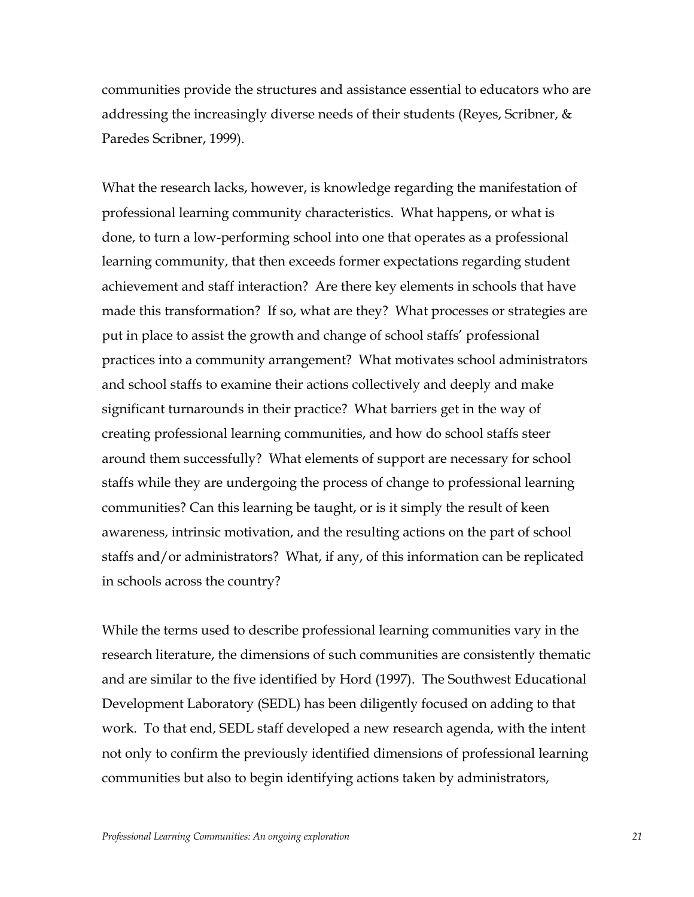communities provide the structures and assistance essential to educators who are addressing the increasingly diverse needs of their students (Reyes, Scribner,  $\&$ Paredes Scribner, 1999).

What the research lacks, however, is knowledge regarding the manifestation of professional learning community characteristics. What happens, or what is done, to turn a low-performing school into one that operates as a professional learning community, that then exceeds former expectations regarding student achievement and staff interaction? Are there key elements in schools that have made this transformation? If so, what are they? What processes or strategies are put in place to assist the growth and change of school staffs' professional practices into a community arrangement? What motivates school administrators and school staffs to examine their actions collectively and deeply and make significant turnarounds in their practice? What barriers get in the way of creating professional learning communities, and how do school staffs steer around them successfully? What elements of support are necessary for school staffs while they are undergoing the process of change to professional learning communities? Can this learning be taught, or is it simply the result of keen awareness, intrinsic motivation, and the resulting actions on the part of school staffs and/or administrators? What, if any, of this information can be replicated in schools across the country?

While the terms used to describe professional learning communities vary in the research literature, the dimensions of such communities are consistently thematic and are similar to the five identified by Hord (1997). The Southwest Educational Development Laboratory (SEDL) has been diligently focused on adding to that work. To that end, SEDL staff developed a new research agenda, with the intent not only to confirm the previously identified dimensions of professional learning communities but also to begin identifying actions taken by administrators,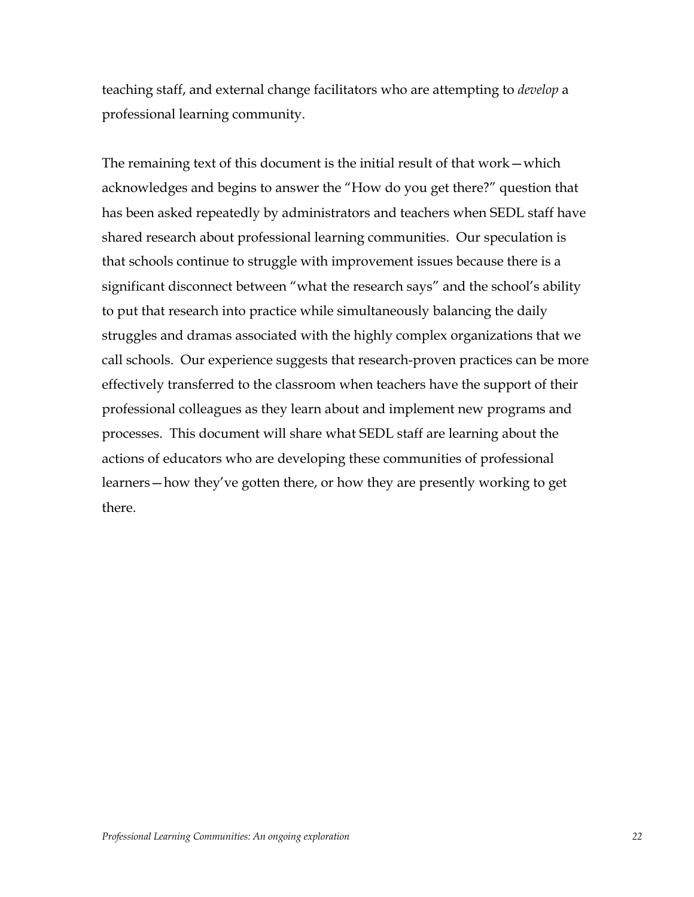teaching staff, and external change facilitators who are attempting to *develop* a professional learning community.

The remaining text of this document is the initial result of that work  $-\text{which}$ acknowledges and begins to answer the "How do you get there?" question that has been asked repeatedly by administrators and teachers when SEDL staff have shared research about professional learning communities. Our speculation is that schools continue to struggle with improvement issues because there is a significant disconnect between "what the research says" and the school's ability to put that research into practice while simultaneously balancing the daily struggles and dramas associated with the highly complex organizations that we call schools. Our experience suggests that research-proven practices can be more effectively transferred to the classroom when teachers have the support of their professional colleagues as they learn about and implement new programs and processes. This document will share what SEDL staff are learning about the actions of educators who are developing these communities of professional learners—how they've gotten there, or how they are presently working to get there.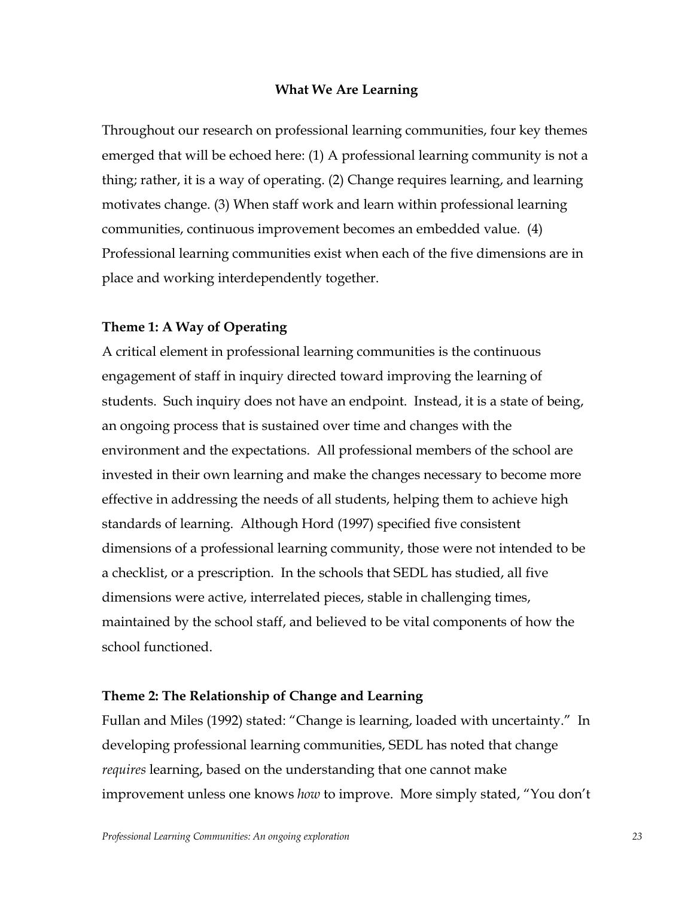#### **What We Are Learning**

Throughout our research on professional learning communities, four key themes emerged that will be echoed here: (1) A professional learning community is not a thing; rather, it is a way of operating. (2) Change requires learning, and learning motivates change. (3) When staff work and learn within professional learning communities, continuous improvement becomes an embedded value. (4) Professional learning communities exist when each of the five dimensions are in place and working interdependently together.

# **Theme 1: A Way of Operating**

A critical element in professional learning communities is the continuous engagement of staff in inquiry directed toward improving the learning of students. Such inquiry does not have an endpoint. Instead, it is a state of being, an ongoing process that is sustained over time and changes with the environment and the expectations. All professional members of the school are invested in their own learning and make the changes necessary to become more effective in addressing the needs of all students, helping them to achieve high standards of learning. Although Hord (1997) specified five consistent dimensions of a professional learning community, those were not intended to be a checklist, or a prescription. In the schools that SEDL has studied, all five dimensions were active, interrelated pieces, stable in challenging times, maintained by the school staff, and believed to be vital components of how the school functioned.

#### **Theme 2: The Relationship of Change and Learning**

Fullan and Miles (1992) stated: "Change is learning, loaded with uncertainty." In developing professional learning communities, SEDL has noted that change *requires* learning, based on the understanding that one cannot make improvement unless one knows *how* to improve. More simply stated, "You don't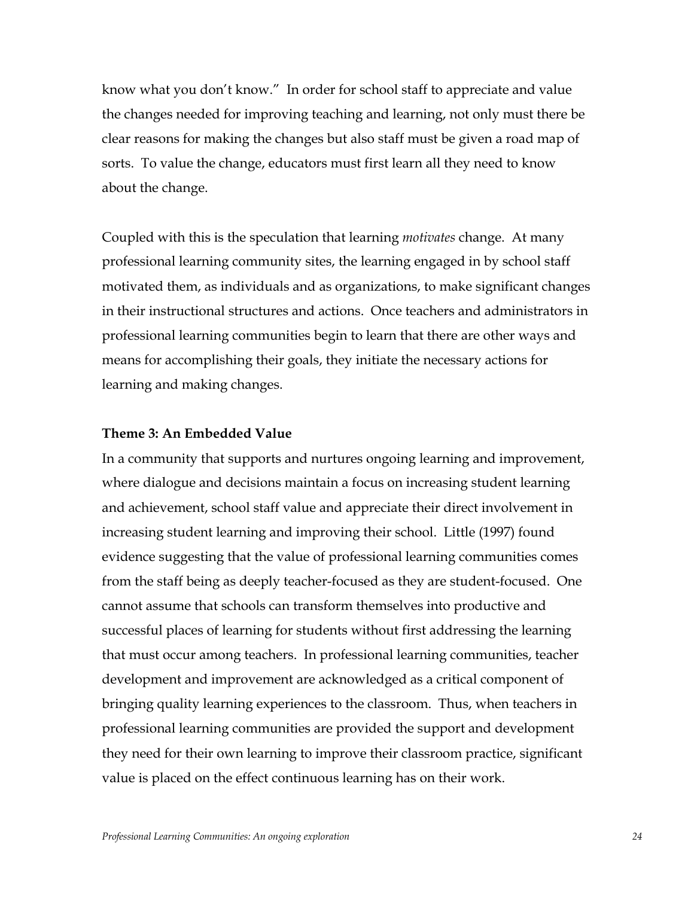know what you don't know." In order for school staff to appreciate and value the changes needed for improving teaching and learning, not only must there be clear reasons for making the changes but also staff must be given a road map of sorts. To value the change, educators must first learn all they need to know about the change.

Coupled with this is the speculation that learning *motivates* change. At many professional learning community sites, the learning engaged in by school staff motivated them, as individuals and as organizations, to make significant changes in their instructional structures and actions. Once teachers and administrators in professional learning communities begin to learn that there are other ways and means for accomplishing their goals, they initiate the necessary actions for learning and making changes.

#### **Theme 3: An Embedded Value**

In a community that supports and nurtures ongoing learning and improvement, where dialogue and decisions maintain a focus on increasing student learning and achievement, school staff value and appreciate their direct involvement in increasing student learning and improving their school. Little (1997) found evidence suggesting that the value of professional learning communities comes from the staff being as deeply teacher-focused as they are student-focused. One cannot assume that schools can transform themselves into productive and successful places of learning for students without first addressing the learning that must occur among teachers. In professional learning communities, teacher development and improvement are acknowledged as a critical component of bringing quality learning experiences to the classroom. Thus, when teachers in professional learning communities are provided the support and development they need for their own learning to improve their classroom practice, significant value is placed on the effect continuous learning has on their work.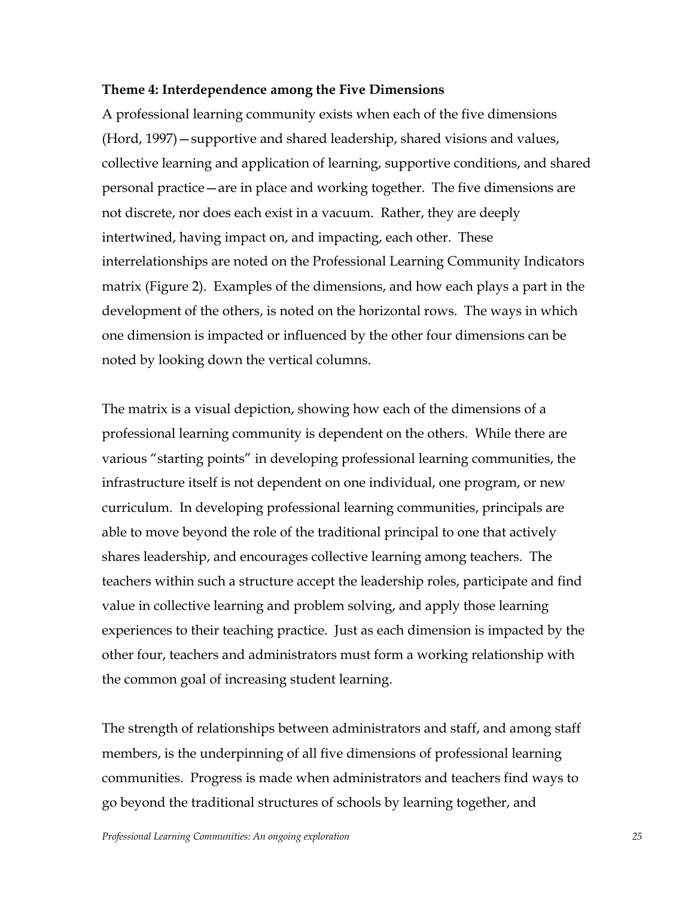## **Theme 4: Interdependence among the Five Dimensions**

A professional learning community exists when each of the five dimensions (Hord, 1997) – supportive and shared leadership, shared visions and values, collective learning and application of learning, supportive conditions, and shared personal practice—are in place and working together. The five dimensions are not discrete, nor does each exist in a vacuum. Rather, they are deeply intertwined, having impact on, and impacting, each other. These interrelationships are noted on the Professional Learning Community Indicators matrix (Figure 2). Examples of the dimensions, and how each plays a part in the development of the others, is noted on the horizontal rows. The ways in which one dimension is impacted or influenced by the other four dimensions can be noted by looking down the vertical columns.

The matrix is a visual depiction, showing how each of the dimensions of a professional learning community is dependent on the others. While there are various "starting points" in developing professional learning communities, the infrastructure itself is not dependent on one individual, one program, or new curriculum. In developing professional learning communities, principals are able to move beyond the role of the traditional principal to one that actively shares leadership, and encourages collective learning among teachers. The teachers within such a structure accept the leadership roles, participate and find value in collective learning and problem solving, and apply those learning experiences to their teaching practice. Just as each dimension is impacted by the other four, teachers and administrators must form a working relationship with the common goal of increasing student learning.

The strength of relationships between administrators and staff, and among staff members, is the underpinning of all five dimensions of professional learning communities. Progress is made when administrators and teachers find ways to go beyond the traditional structures of schools by learning together, and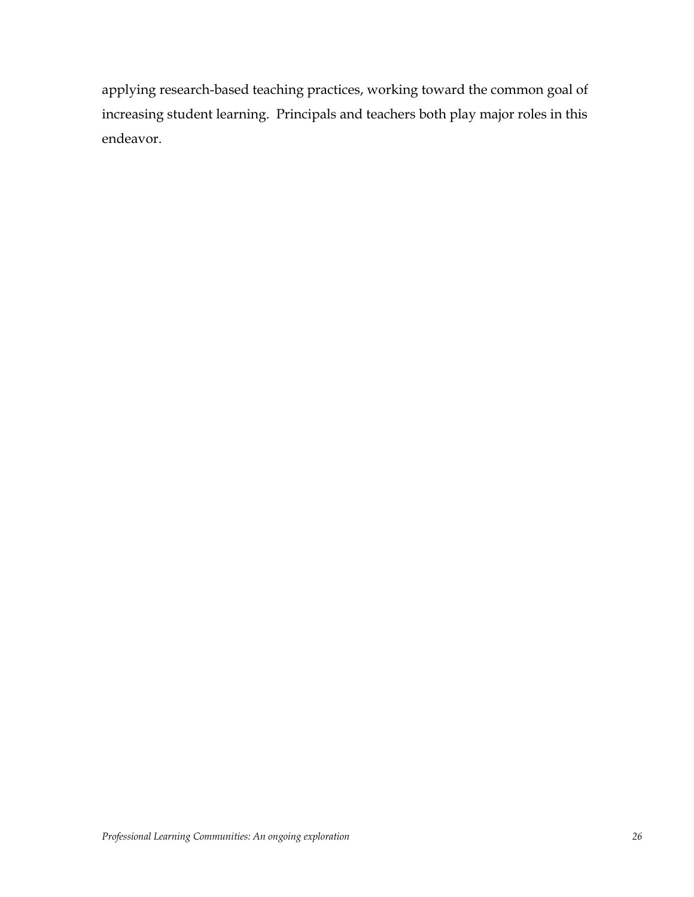applying research-based teaching practices, working toward the common goal of increasing student learning. Principals and teachers both play major roles in this endeavor.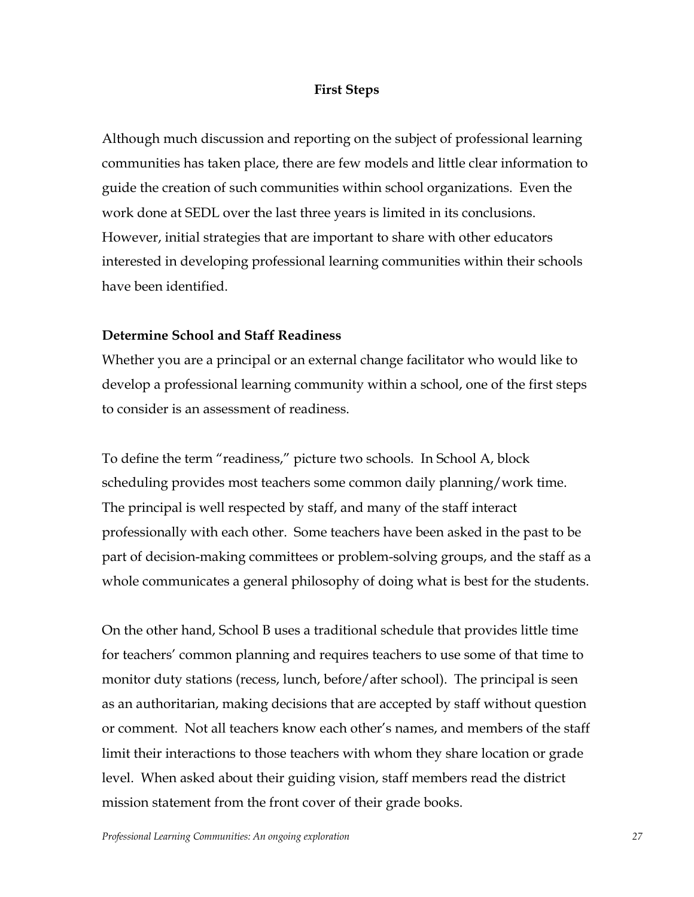## **First Steps**

Although much discussion and reporting on the subject of professional learning communities has taken place, there are few models and little clear information to guide the creation of such communities within school organizations. Even the work done at SEDL over the last three years is limited in its conclusions. However, initial strategies that are important to share with other educators interested in developing professional learning communities within their schools have been identified.

## **Determine School and Staff Readiness**

Whether you are a principal or an external change facilitator who would like to develop a professional learning community within a school, one of the first steps to consider is an assessment of readiness.

To define the term "readiness," picture two schools. In School A, block scheduling provides most teachers some common daily planning/work time. The principal is well respected by staff, and many of the staff interact professionally with each other. Some teachers have been asked in the past to be part of decision-making committees or problem-solving groups, and the staff as a whole communicates a general philosophy of doing what is best for the students.

On the other hand, School B uses a traditional schedule that provides little time for teachers' common planning and requires teachers to use some of that time to monitor duty stations (recess, lunch, before/after school). The principal is seen as an authoritarian, making decisions that are accepted by staff without question or comment. Not all teachers know each other's names, and members of the staff limit their interactions to those teachers with whom they share location or grade level. When asked about their guiding vision, staff members read the district mission statement from the front cover of their grade books.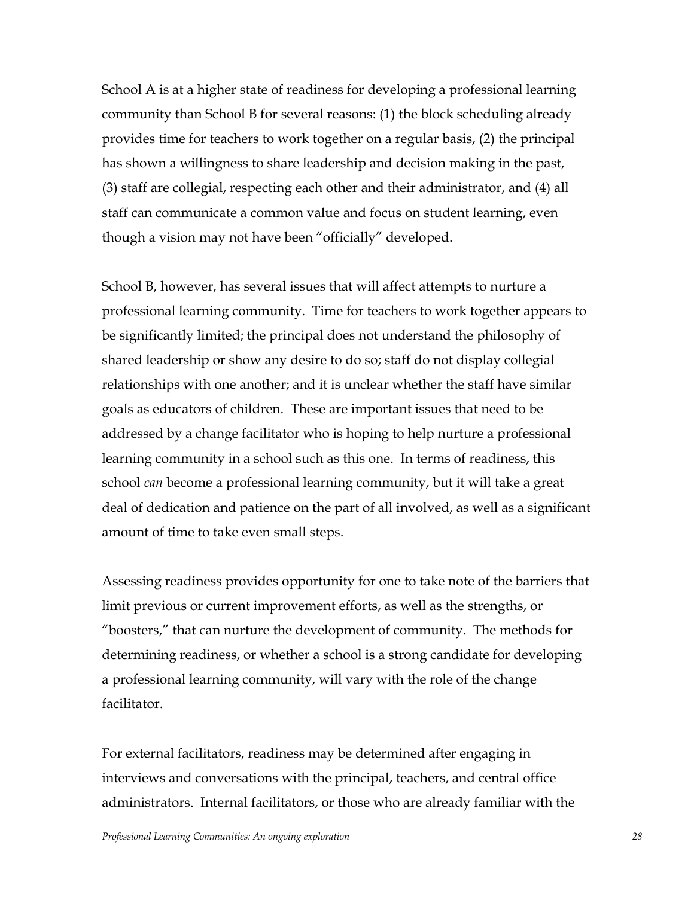School A is at a higher state of readiness for developing a professional learning community than School B for several reasons: (1) the block scheduling already provides time for teachers to work together on a regular basis, (2) the principal has shown a willingness to share leadership and decision making in the past, (3) staff are collegial, respecting each other and their administrator, and (4) all staff can communicate a common value and focus on student learning, even though a vision may not have been "officially" developed.

School B, however, has several issues that will affect attempts to nurture a professional learning community. Time for teachers to work together appears to be significantly limited; the principal does not understand the philosophy of shared leadership or show any desire to do so; staff do not display collegial relationships with one another; and it is unclear whether the staff have similar goals as educators of children. These are important issues that need to be addressed by a change facilitator who is hoping to help nurture a professional learning community in a school such as this one. In terms of readiness, this school *can* become a professional learning community, but it will take a great deal of dedication and patience on the part of all involved, as well as a significant amount of time to take even small steps.

Assessing readiness provides opportunity for one to take note of the barriers that limit previous or current improvement efforts, as well as the strengths, or "boosters," that can nurture the development of community. The methods for determining readiness, or whether a school is a strong candidate for developing a professional learning community, will vary with the role of the change facilitator.

For external facilitators, readiness may be determined after engaging in interviews and conversations with the principal, teachers, and central office administrators. Internal facilitators, or those who are already familiar with the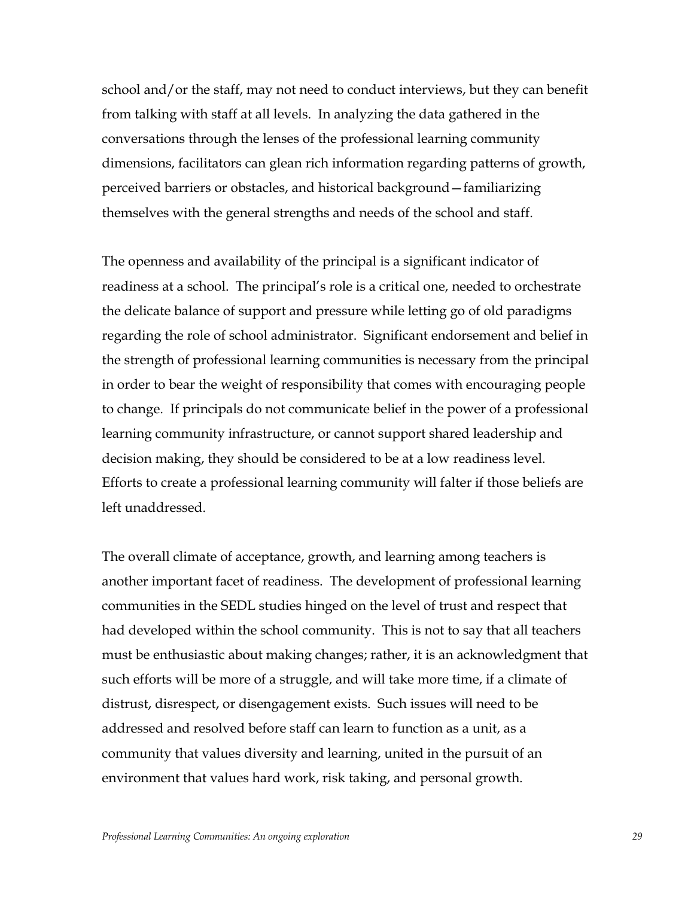school and/or the staff, may not need to conduct interviews, but they can benefit from talking with staff at all levels. In analyzing the data gathered in the conversations through the lenses of the professional learning community dimensions, facilitators can glean rich information regarding patterns of growth, perceived barriers or obstacles, and historical background–familiarizing themselves with the general strengths and needs of the school and staff.

The openness and availability of the principal is a significant indicator of readiness at a school. The principal's role is a critical one, needed to orchestrate the delicate balance of support and pressure while letting go of old paradigms regarding the role of school administrator. Significant endorsement and belief in the strength of professional learning communities is necessary from the principal in order to bear the weight of responsibility that comes with encouraging people to change. If principals do not communicate belief in the power of a professional learning community infrastructure, or cannot support shared leadership and decision making, they should be considered to be at a low readiness level. Efforts to create a professional learning community will falter if those beliefs are left unaddressed.

The overall climate of acceptance, growth, and learning among teachers is another important facet of readiness. The development of professional learning communities in the SEDL studies hinged on the level of trust and respect that had developed within the school community. This is not to say that all teachers must be enthusiastic about making changes; rather, it is an acknowledgment that such efforts will be more of a struggle, and will take more time, if a climate of distrust, disrespect, or disengagement exists. Such issues will need to be addressed and resolved before staff can learn to function as a unit, as a community that values diversity and learning, united in the pursuit of an environment that values hard work, risk taking, and personal growth.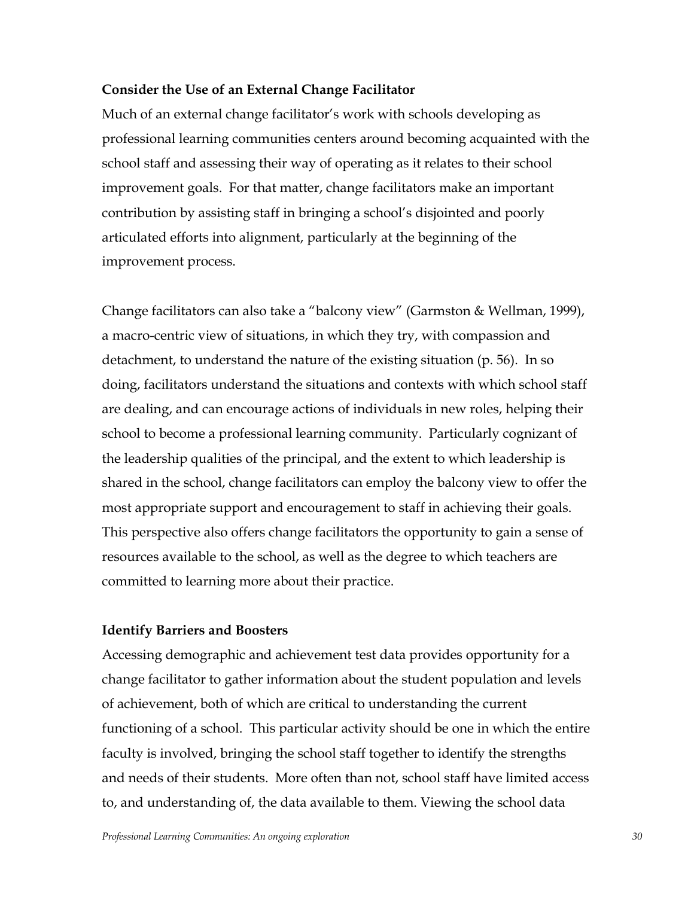# **Consider the Use of an External Change Facilitator**

Much of an external change facilitator's work with schools developing as professional learning communities centers around becoming acquainted with the school staff and assessing their way of operating as it relates to their school improvement goals. For that matter, change facilitators make an important contribution by assisting staff in bringing a school's disjointed and poorly articulated efforts into alignment, particularly at the beginning of the improvement process.

Change facilitators can also take a "balcony view" (Garmston & Wellman, 1999), a macro-centric view of situations, in which they try, with compassion and detachment, to understand the nature of the existing situation (p. 56). In so doing, facilitators understand the situations and contexts with which school staff are dealing, and can encourage actions of individuals in new roles, helping their school to become a professional learning community. Particularly cognizant of the leadership qualities of the principal, and the extent to which leadership is shared in the school, change facilitators can employ the balcony view to offer the most appropriate support and encouragement to staff in achieving their goals. This perspective also offers change facilitators the opportunity to gain a sense of resources available to the school, as well as the degree to which teachers are committed to learning more about their practice.

# **Identify Barriers and Boosters**

Accessing demographic and achievement test data provides opportunity for a change facilitator to gather information about the student population and levels of achievement, both of which are critical to understanding the current functioning of a school. This particular activity should be one in which the entire faculty is involved, bringing the school staff together to identify the strengths and needs of their students. More often than not, school staff have limited access to, and understanding of, the data available to them. Viewing the school data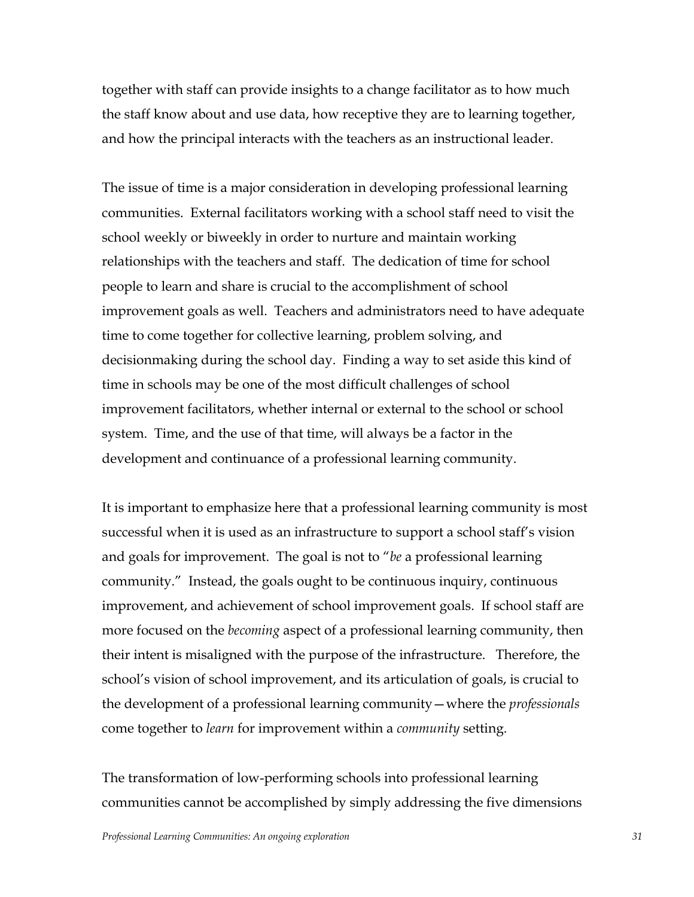together with staff can provide insights to a change facilitator as to how much the staff know about and use data, how receptive they are to learning together, and how the principal interacts with the teachers as an instructional leader.

The issue of time is a major consideration in developing professional learning communities. External facilitators working with a school staff need to visit the school weekly or biweekly in order to nurture and maintain working relationships with the teachers and staff. The dedication of time for school people to learn and share is crucial to the accomplishment of school improvement goals as well. Teachers and administrators need to have adequate time to come together for collective learning, problem solving, and decisionmaking during the school day. Finding a way to set aside this kind of time in schools may be one of the most difficult challenges of school improvement facilitators, whether internal or external to the school or school system. Time, and the use of that time, will always be a factor in the development and continuance of a professional learning community.

It is important to emphasize here that a professional learning community is most successful when it is used as an infrastructure to support a school staff's vision and goals for improvement. The goal is not to *"be* a professional learning community.î Instead, the goals ought to be continuous inquiry, continuous improvement, and achievement of school improvement goals. If school staff are more focused on the *becoming* aspect of a professional learning community, then their intent is misaligned with the purpose of the infrastructure. Therefore, the school's vision of school improvement, and its articulation of goals, is crucial to the development of a professional learning community – where the *professionals* come together to *learn* for improvement within a *community* setting.

The transformation of low-performing schools into professional learning communities cannot be accomplished by simply addressing the five dimensions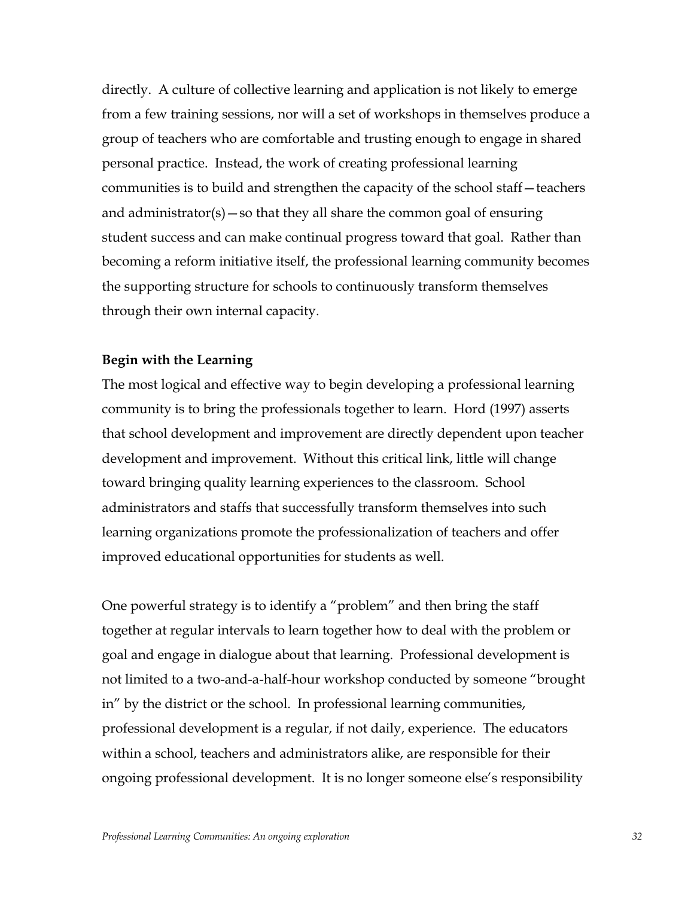directly. A culture of collective learning and application is not likely to emerge from a few training sessions, nor will a set of workshops in themselves produce a group of teachers who are comfortable and trusting enough to engage in shared personal practice. Instead, the work of creating professional learning communities is to build and strengthen the capacity of the school staff-teachers and administrator(s) – so that they all share the common goal of ensuring student success and can make continual progress toward that goal. Rather than becoming a reform initiative itself, the professional learning community becomes the supporting structure for schools to continuously transform themselves through their own internal capacity.

# **Begin with the Learning**

The most logical and effective way to begin developing a professional learning community is to bring the professionals together to learn. Hord (1997) asserts that school development and improvement are directly dependent upon teacher development and improvement. Without this critical link, little will change toward bringing quality learning experiences to the classroom. School administrators and staffs that successfully transform themselves into such learning organizations promote the professionalization of teachers and offer improved educational opportunities for students as well.

One powerful strategy is to identify a "problem" and then bring the staff together at regular intervals to learn together how to deal with the problem or goal and engage in dialogue about that learning. Professional development is not limited to a two-and-a-half-hour workshop conducted by someone "brought in<sup>"</sup> by the district or the school. In professional learning communities, professional development is a regular, if not daily, experience. The educators within a school, teachers and administrators alike, are responsible for their ongoing professional development. It is no longer someone else's responsibility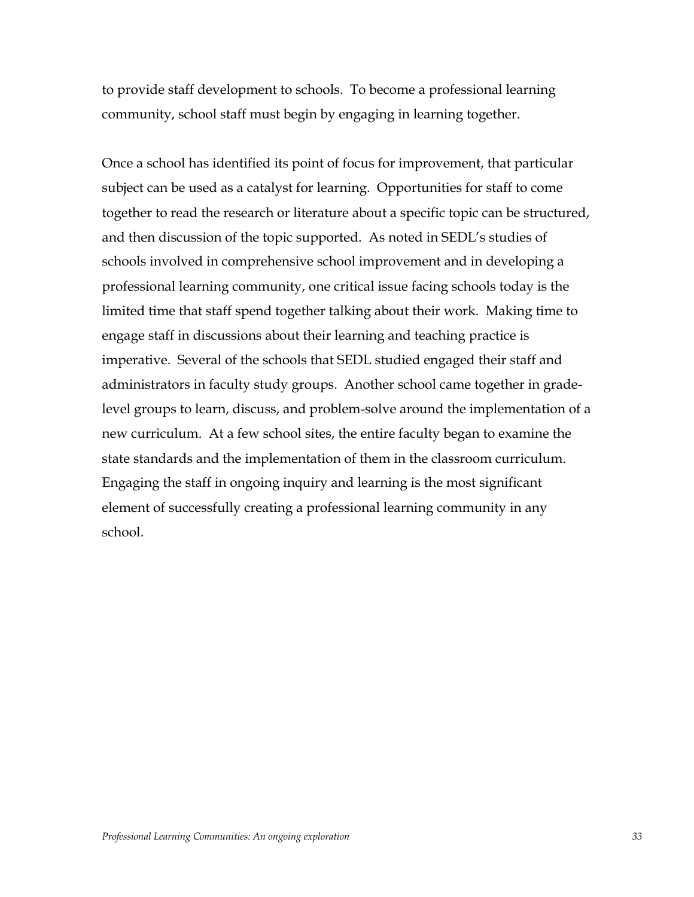to provide staff development to schools. To become a professional learning community, school staff must begin by engaging in learning together.

Once a school has identified its point of focus for improvement, that particular subject can be used as a catalyst for learning. Opportunities for staff to come together to read the research or literature about a specific topic can be structured, and then discussion of the topic supported. As noted in SEDL's studies of schools involved in comprehensive school improvement and in developing a professional learning community, one critical issue facing schools today is the limited time that staff spend together talking about their work. Making time to engage staff in discussions about their learning and teaching practice is imperative. Several of the schools that SEDL studied engaged their staff and administrators in faculty study groups. Another school came together in gradelevel groups to learn, discuss, and problem-solve around the implementation of a new curriculum. At a few school sites, the entire faculty began to examine the state standards and the implementation of them in the classroom curriculum. Engaging the staff in ongoing inquiry and learning is the most significant element of successfully creating a professional learning community in any school.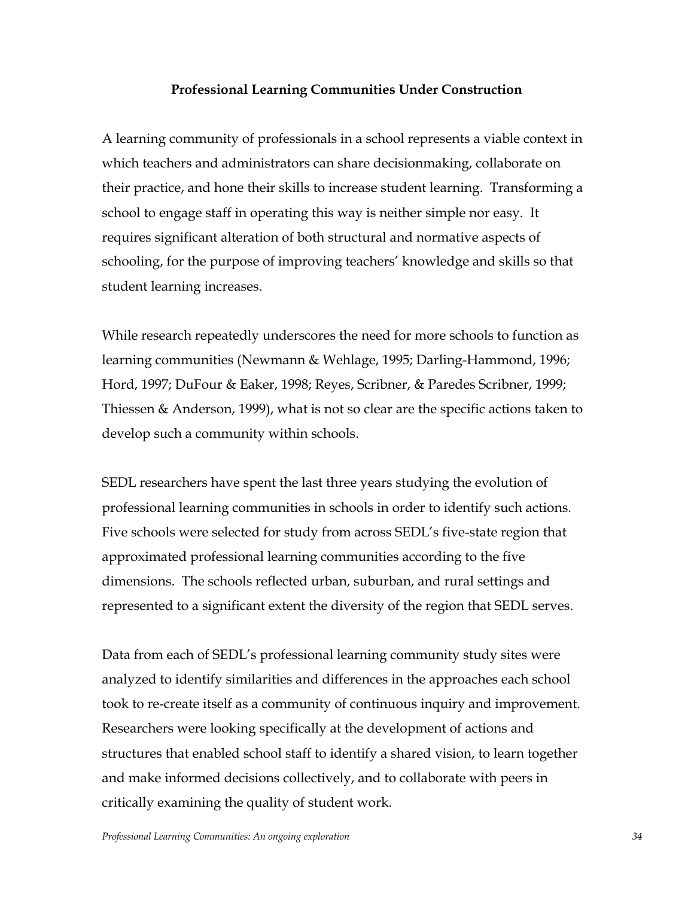# **Professional Learning Communities Under Construction**

A learning community of professionals in a school represents a viable context in which teachers and administrators can share decisionmaking, collaborate on their practice, and hone their skills to increase student learning. Transforming a school to engage staff in operating this way is neither simple nor easy. It requires significant alteration of both structural and normative aspects of schooling, for the purpose of improving teachers' knowledge and skills so that student learning increases.

While research repeatedly underscores the need for more schools to function as learning communities (Newmann & Wehlage, 1995; Darling-Hammond, 1996; Hord, 1997; DuFour & Eaker, 1998; Reyes, Scribner, & Paredes Scribner, 1999; Thiessen & Anderson, 1999), what is not so clear are the specific actions taken to develop such a community within schools.

SEDL researchers have spent the last three years studying the evolution of professional learning communities in schools in order to identify such actions. Five schools were selected for study from across SEDLís five-state region that approximated professional learning communities according to the five dimensions. The schools reflected urban, suburban, and rural settings and represented to a significant extent the diversity of the region that SEDL serves.

Data from each of SEDL's professional learning community study sites were analyzed to identify similarities and differences in the approaches each school took to re-create itself as a community of continuous inquiry and improvement. Researchers were looking specifically at the development of actions and structures that enabled school staff to identify a shared vision, to learn together and make informed decisions collectively, and to collaborate with peers in critically examining the quality of student work.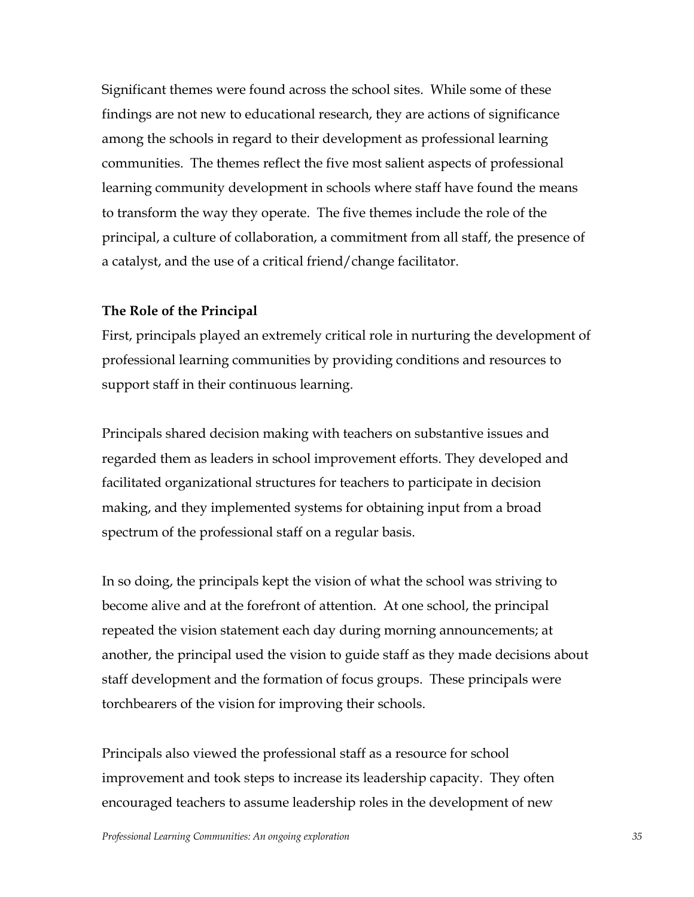Significant themes were found across the school sites. While some of these findings are not new to educational research, they are actions of significance among the schools in regard to their development as professional learning communities. The themes reflect the five most salient aspects of professional learning community development in schools where staff have found the means to transform the way they operate. The five themes include the role of the principal, a culture of collaboration, a commitment from all staff, the presence of a catalyst, and the use of a critical friend/change facilitator.

#### **The Role of the Principal**

First, principals played an extremely critical role in nurturing the development of professional learning communities by providing conditions and resources to support staff in their continuous learning.

Principals shared decision making with teachers on substantive issues and regarded them as leaders in school improvement efforts. They developed and facilitated organizational structures for teachers to participate in decision making, and they implemented systems for obtaining input from a broad spectrum of the professional staff on a regular basis.

In so doing, the principals kept the vision of what the school was striving to become alive and at the forefront of attention. At one school, the principal repeated the vision statement each day during morning announcements; at another, the principal used the vision to guide staff as they made decisions about staff development and the formation of focus groups. These principals were torchbearers of the vision for improving their schools.

Principals also viewed the professional staff as a resource for school improvement and took steps to increase its leadership capacity. They often encouraged teachers to assume leadership roles in the development of new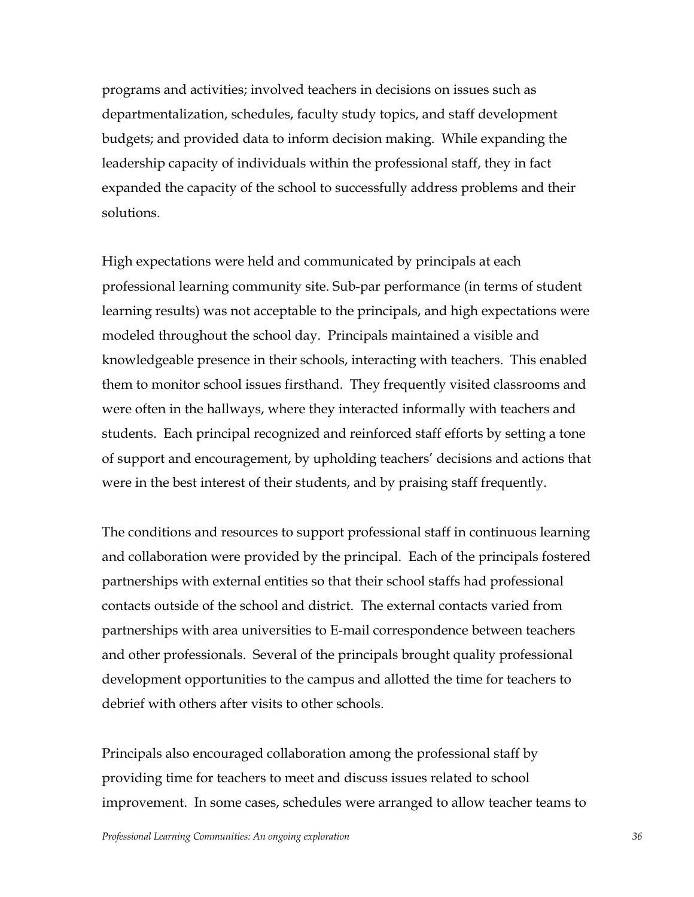programs and activities; involved teachers in decisions on issues such as departmentalization, schedules, faculty study topics, and staff development budgets; and provided data to inform decision making. While expanding the leadership capacity of individuals within the professional staff, they in fact expanded the capacity of the school to successfully address problems and their solutions.

High expectations were held and communicated by principals at each professional learning community site. Sub-par performance (in terms of student learning results) was not acceptable to the principals, and high expectations were modeled throughout the school day. Principals maintained a visible and knowledgeable presence in their schools, interacting with teachers. This enabled them to monitor school issues firsthand. They frequently visited classrooms and were often in the hallways, where they interacted informally with teachers and students. Each principal recognized and reinforced staff efforts by setting a tone of support and encouragement, by upholding teachers' decisions and actions that were in the best interest of their students, and by praising staff frequently.

The conditions and resources to support professional staff in continuous learning and collaboration were provided by the principal. Each of the principals fostered partnerships with external entities so that their school staffs had professional contacts outside of the school and district. The external contacts varied from partnerships with area universities to E-mail correspondence between teachers and other professionals. Several of the principals brought quality professional development opportunities to the campus and allotted the time for teachers to debrief with others after visits to other schools.

Principals also encouraged collaboration among the professional staff by providing time for teachers to meet and discuss issues related to school improvement. In some cases, schedules were arranged to allow teacher teams to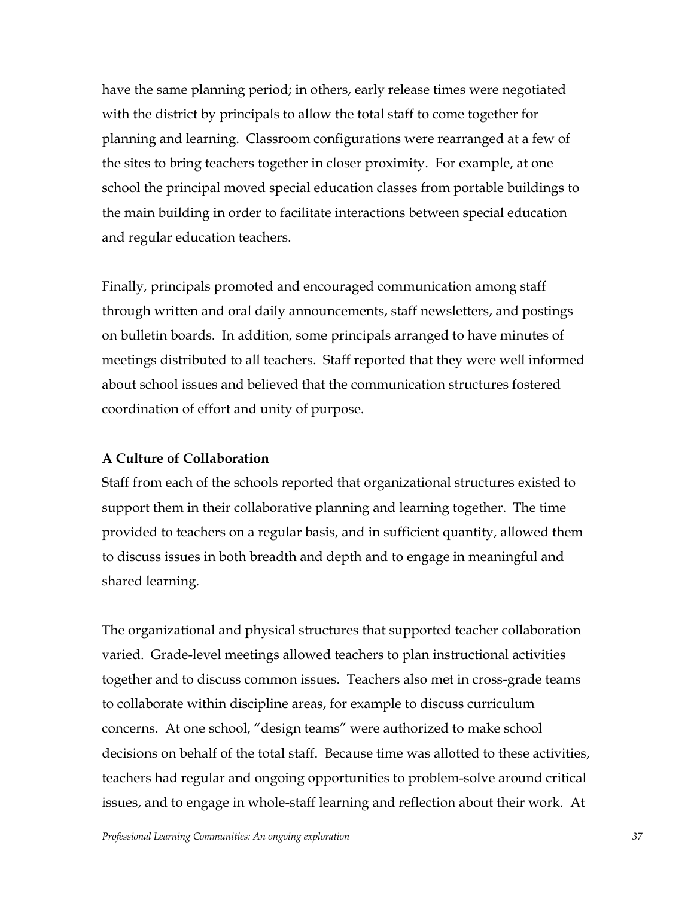have the same planning period; in others, early release times were negotiated with the district by principals to allow the total staff to come together for planning and learning. Classroom configurations were rearranged at a few of the sites to bring teachers together in closer proximity. For example, at one school the principal moved special education classes from portable buildings to the main building in order to facilitate interactions between special education and regular education teachers.

Finally, principals promoted and encouraged communication among staff through written and oral daily announcements, staff newsletters, and postings on bulletin boards. In addition, some principals arranged to have minutes of meetings distributed to all teachers. Staff reported that they were well informed about school issues and believed that the communication structures fostered coordination of effort and unity of purpose.

# **A Culture of Collaboration**

Staff from each of the schools reported that organizational structures existed to support them in their collaborative planning and learning together. The time provided to teachers on a regular basis, and in sufficient quantity, allowed them to discuss issues in both breadth and depth and to engage in meaningful and shared learning.

The organizational and physical structures that supported teacher collaboration varied. Grade-level meetings allowed teachers to plan instructional activities together and to discuss common issues. Teachers also met in cross-grade teams to collaborate within discipline areas, for example to discuss curriculum concerns. At one school, "design teams" were authorized to make school decisions on behalf of the total staff. Because time was allotted to these activities, teachers had regular and ongoing opportunities to problem-solve around critical issues, and to engage in whole-staff learning and reflection about their work. At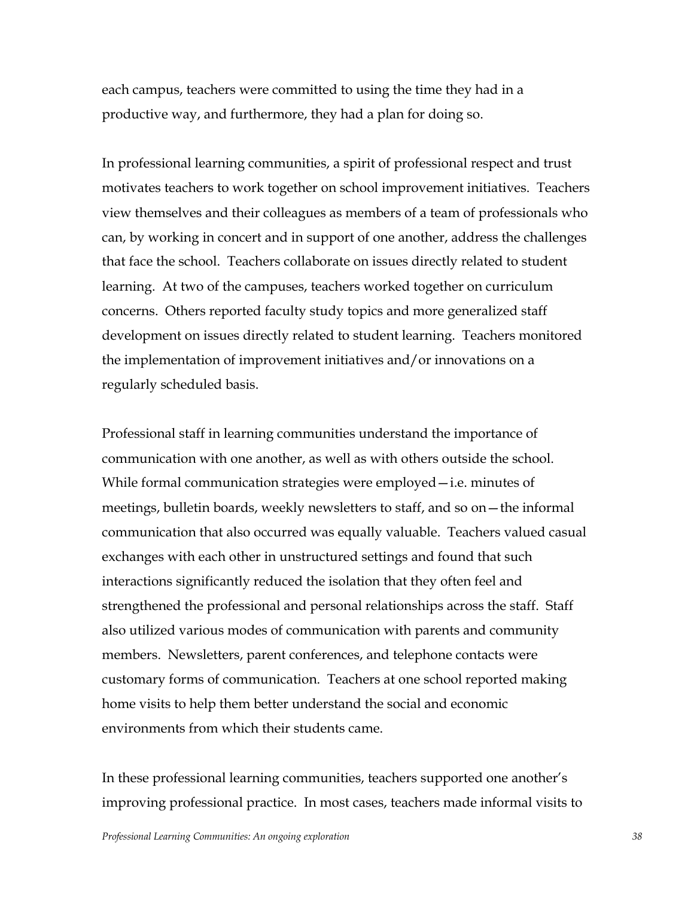each campus, teachers were committed to using the time they had in a productive way, and furthermore, they had a plan for doing so.

In professional learning communities, a spirit of professional respect and trust motivates teachers to work together on school improvement initiatives. Teachers view themselves and their colleagues as members of a team of professionals who can, by working in concert and in support of one another, address the challenges that face the school. Teachers collaborate on issues directly related to student learning. At two of the campuses, teachers worked together on curriculum concerns. Others reported faculty study topics and more generalized staff development on issues directly related to student learning. Teachers monitored the implementation of improvement initiatives and/or innovations on a regularly scheduled basis.

Professional staff in learning communities understand the importance of communication with one another, as well as with others outside the school. While formal communication strategies were employed  $-i.e.$  minutes of meetings, bulletin boards, weekly newsletters to staff, and so on - the informal communication that also occurred was equally valuable. Teachers valued casual exchanges with each other in unstructured settings and found that such interactions significantly reduced the isolation that they often feel and strengthened the professional and personal relationships across the staff. Staff also utilized various modes of communication with parents and community members. Newsletters, parent conferences, and telephone contacts were customary forms of communication. Teachers at one school reported making home visits to help them better understand the social and economic environments from which their students came.

In these professional learning communities, teachers supported one another's improving professional practice. In most cases, teachers made informal visits to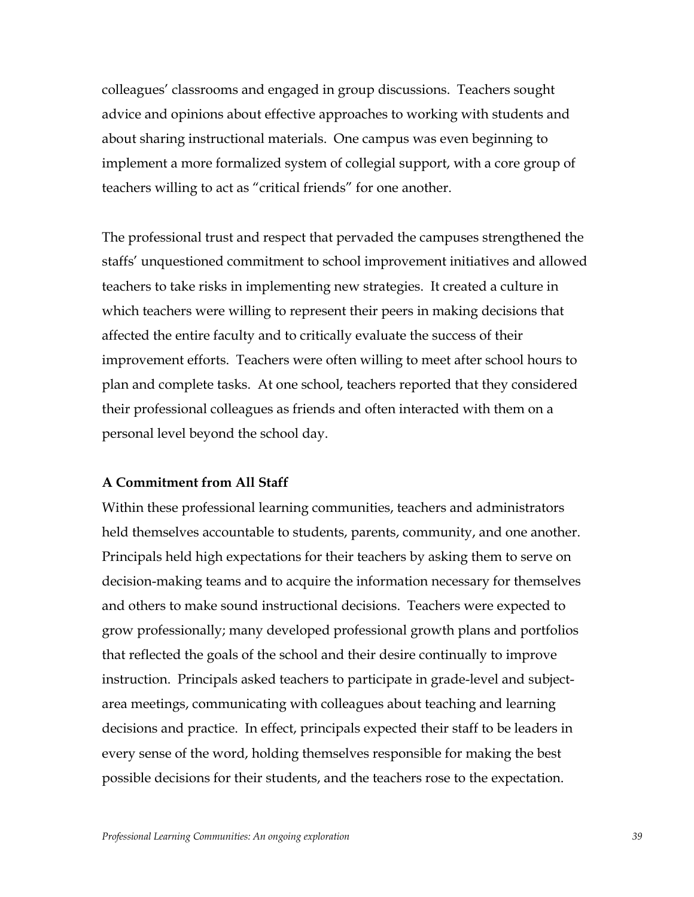colleaguesí classrooms and engaged in group discussions. Teachers sought advice and opinions about effective approaches to working with students and about sharing instructional materials. One campus was even beginning to implement a more formalized system of collegial support, with a core group of teachers willing to act as "critical friends" for one another.

The professional trust and respect that pervaded the campuses strengthened the staffsí unquestioned commitment to school improvement initiatives and allowed teachers to take risks in implementing new strategies. It created a culture in which teachers were willing to represent their peers in making decisions that affected the entire faculty and to critically evaluate the success of their improvement efforts. Teachers were often willing to meet after school hours to plan and complete tasks. At one school, teachers reported that they considered their professional colleagues as friends and often interacted with them on a personal level beyond the school day.

# **A Commitment from All Staff**

Within these professional learning communities, teachers and administrators held themselves accountable to students, parents, community, and one another. Principals held high expectations for their teachers by asking them to serve on decision-making teams and to acquire the information necessary for themselves and others to make sound instructional decisions. Teachers were expected to grow professionally; many developed professional growth plans and portfolios that reflected the goals of the school and their desire continually to improve instruction. Principals asked teachers to participate in grade-level and subjectarea meetings, communicating with colleagues about teaching and learning decisions and practice. In effect, principals expected their staff to be leaders in every sense of the word, holding themselves responsible for making the best possible decisions for their students, and the teachers rose to the expectation.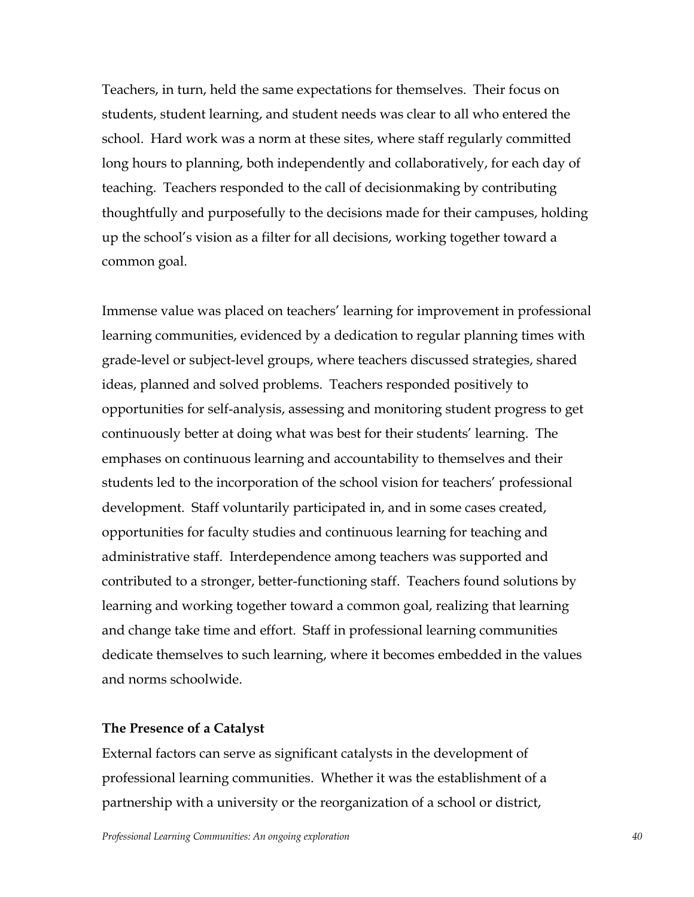Teachers, in turn, held the same expectations for themselves. Their focus on students, student learning, and student needs was clear to all who entered the school. Hard work was a norm at these sites, where staff regularly committed long hours to planning, both independently and collaboratively, for each day of teaching. Teachers responded to the call of decisionmaking by contributing thoughtfully and purposefully to the decisions made for their campuses, holding up the school's vision as a filter for all decisions, working together toward a common goal.

Immense value was placed on teachers' learning for improvement in professional learning communities, evidenced by a dedication to regular planning times with grade-level or subject-level groups, where teachers discussed strategies, shared ideas, planned and solved problems. Teachers responded positively to opportunities for self-analysis, assessing and monitoring student progress to get continuously better at doing what was best for their students' learning. The emphases on continuous learning and accountability to themselves and their students led to the incorporation of the school vision for teachers' professional development. Staff voluntarily participated in, and in some cases created, opportunities for faculty studies and continuous learning for teaching and administrative staff. Interdependence among teachers was supported and contributed to a stronger, better-functioning staff. Teachers found solutions by learning and working together toward a common goal, realizing that learning and change take time and effort. Staff in professional learning communities dedicate themselves to such learning, where it becomes embedded in the values and norms schoolwide.

#### **The Presence of a Catalyst**

External factors can serve as significant catalysts in the development of professional learning communities. Whether it was the establishment of a partnership with a university or the reorganization of a school or district,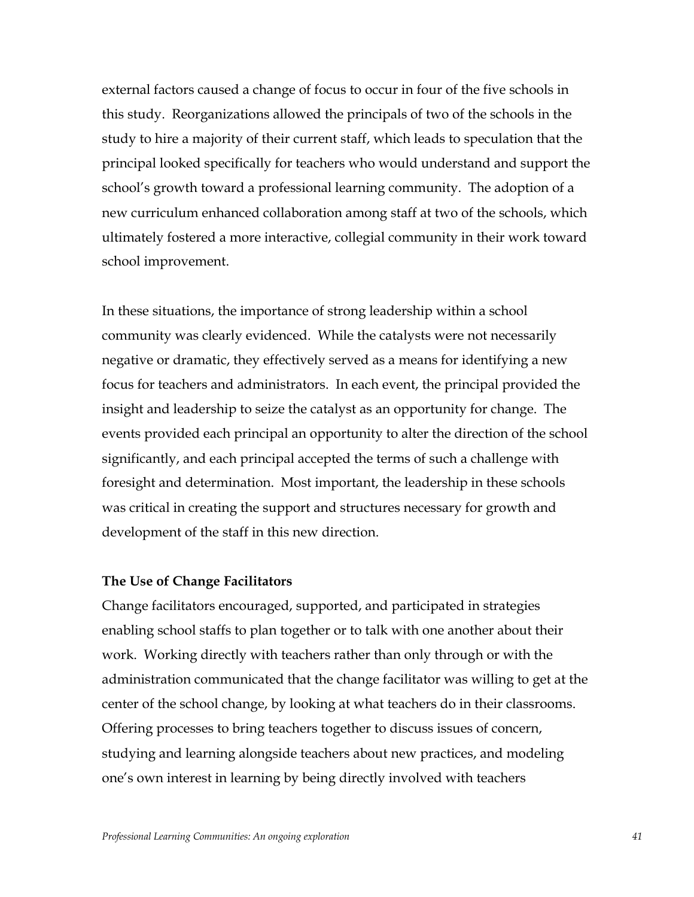external factors caused a change of focus to occur in four of the five schools in this study. Reorganizations allowed the principals of two of the schools in the study to hire a majority of their current staff, which leads to speculation that the principal looked specifically for teachers who would understand and support the school's growth toward a professional learning community. The adoption of a new curriculum enhanced collaboration among staff at two of the schools, which ultimately fostered a more interactive, collegial community in their work toward school improvement.

In these situations, the importance of strong leadership within a school community was clearly evidenced. While the catalysts were not necessarily negative or dramatic, they effectively served as a means for identifying a new focus for teachers and administrators. In each event, the principal provided the insight and leadership to seize the catalyst as an opportunity for change. The events provided each principal an opportunity to alter the direction of the school significantly, and each principal accepted the terms of such a challenge with foresight and determination. Most important, the leadership in these schools was critical in creating the support and structures necessary for growth and development of the staff in this new direction.

#### **The Use of Change Facilitators**

Change facilitators encouraged, supported, and participated in strategies enabling school staffs to plan together or to talk with one another about their work. Working directly with teachers rather than only through or with the administration communicated that the change facilitator was willing to get at the center of the school change, by looking at what teachers do in their classrooms. Offering processes to bring teachers together to discuss issues of concern, studying and learning alongside teachers about new practices, and modeling one's own interest in learning by being directly involved with teachers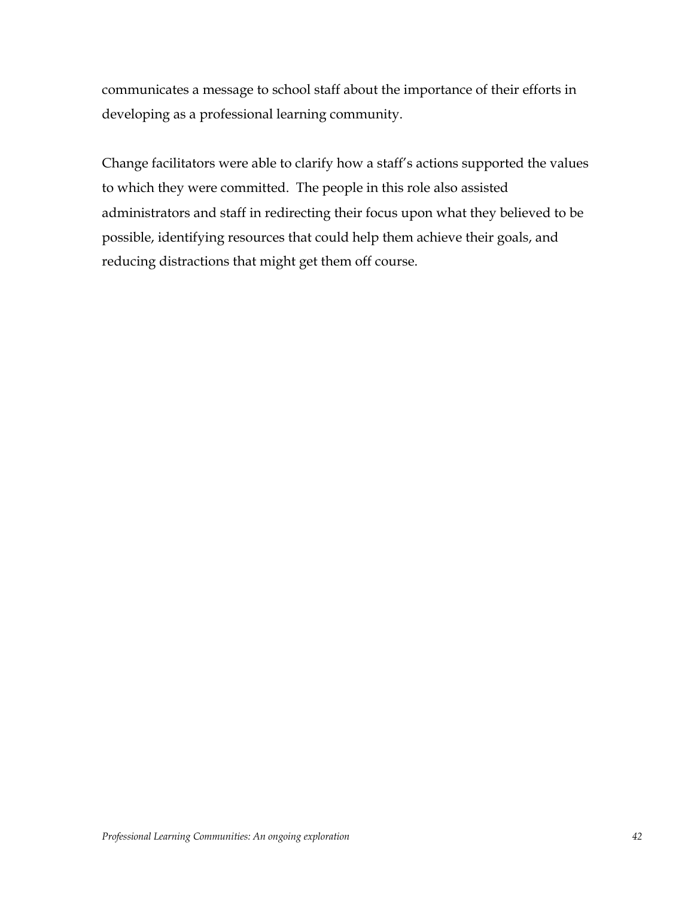communicates a message to school staff about the importance of their efforts in developing as a professional learning community.

Change facilitators were able to clarify how a staff's actions supported the values to which they were committed. The people in this role also assisted administrators and staff in redirecting their focus upon what they believed to be possible, identifying resources that could help them achieve their goals, and reducing distractions that might get them off course.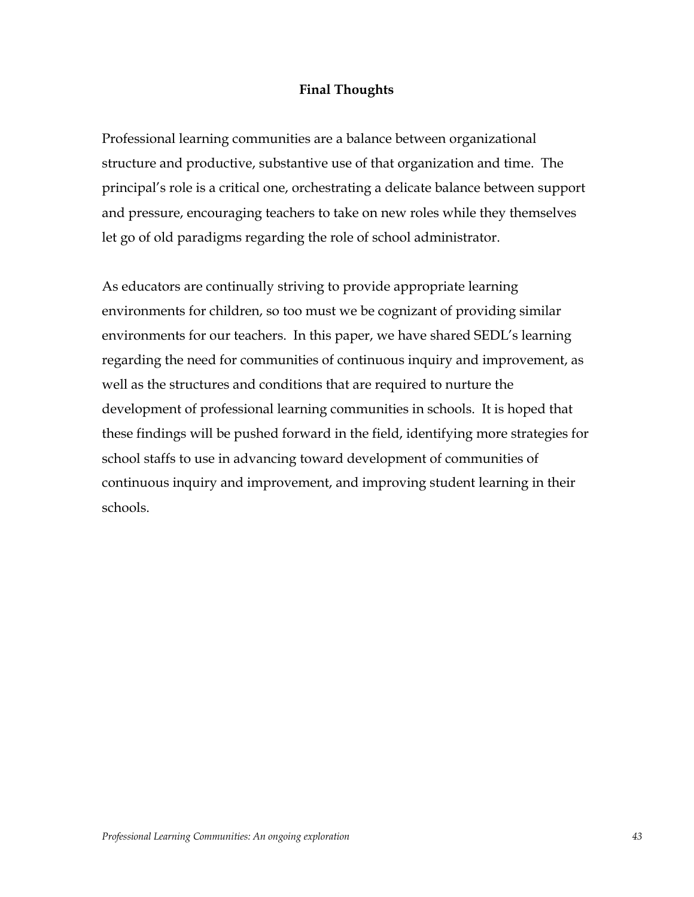# **Final Thoughts**

Professional learning communities are a balance between organizational structure and productive, substantive use of that organization and time. The principal's role is a critical one, orchestrating a delicate balance between support and pressure, encouraging teachers to take on new roles while they themselves let go of old paradigms regarding the role of school administrator.

As educators are continually striving to provide appropriate learning environments for children, so too must we be cognizant of providing similar environments for our teachers. In this paper, we have shared SEDL's learning regarding the need for communities of continuous inquiry and improvement, as well as the structures and conditions that are required to nurture the development of professional learning communities in schools. It is hoped that these findings will be pushed forward in the field, identifying more strategies for school staffs to use in advancing toward development of communities of continuous inquiry and improvement, and improving student learning in their schools.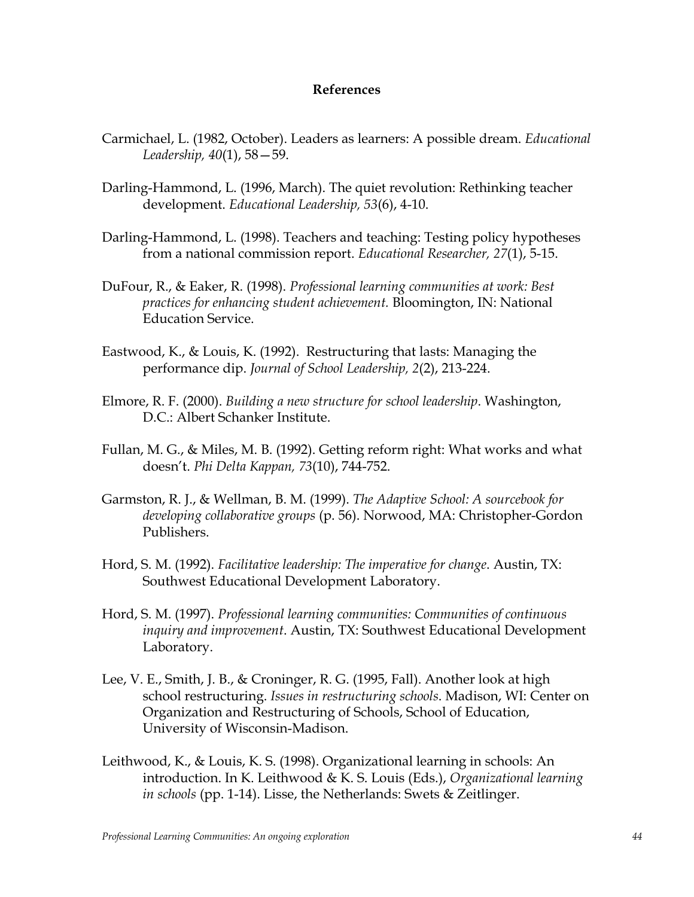# **References**

- Carmichael, L. (1982, October). Leaders as learners: A possible dream. *Educational Leadership, 40(1), 58* – 59.
- Darling-Hammond, L. (1996, March). The quiet revolution: Rethinking teacher development. *Educational Leadership, 53*(6), 4-10.
- Darling-Hammond, L. (1998). Teachers and teaching: Testing policy hypotheses from a national commission report. *Educational Researcher, 27*(1), 5-15.
- DuFour, R., & Eaker, R. (1998). *Professional learning communities at work: Best practices for enhancing student achievement.* Bloomington, IN: National Education Service.
- Eastwood, K., & Louis, K. (1992). Restructuring that lasts: Managing the performance dip. *Journal of School Leadership, 2*(2), 213-224.
- Elmore, R. F. (2000). *Building a new structure for school leadership*. Washington, D.C.: Albert Schanker Institute.
- Fullan, M. G., & Miles, M. B. (1992). Getting reform right: What works and what doesnít. *Phi Delta Kappan, 73*(10), 744-752.
- Garmston, R. J., & Wellman, B. M. (1999). *The Adaptive School: A sourcebook for developing collaborative groups* (p. 56). Norwood, MA: Christopher-Gordon Publishers.
- Hord, S. M. (1992). *Facilitative leadership: The imperative for change*. Austin, TX: Southwest Educational Development Laboratory.
- Hord, S. M. (1997). *Professional learning communities: Communities of continuous inquiry and improvement*. Austin, TX: Southwest Educational Development Laboratory.
- Lee, V. E., Smith, J. B., & Croninger, R. G. (1995, Fall). Another look at high school restructuring. *Issues in restructuring schools*. Madison, WI: Center on Organization and Restructuring of Schools, School of Education, University of Wisconsin-Madison.
- Leithwood, K., & Louis, K. S. (1998). Organizational learning in schools: An introduction. In K. Leithwood & K. S. Louis (Eds.), *Organizational learning in schools* (pp. 1-14). Lisse, the Netherlands: Swets & Zeitlinger.